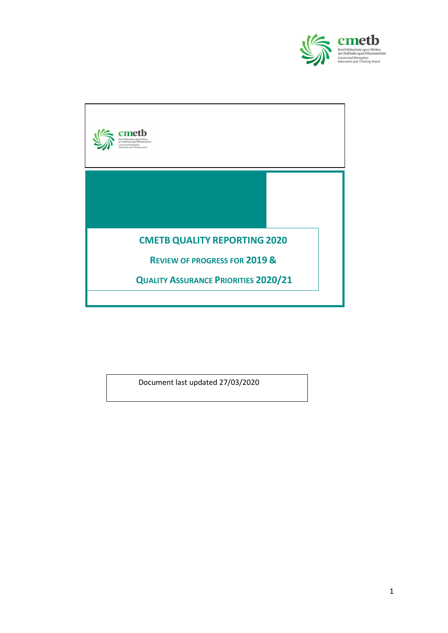



Document last updated 27/03/2020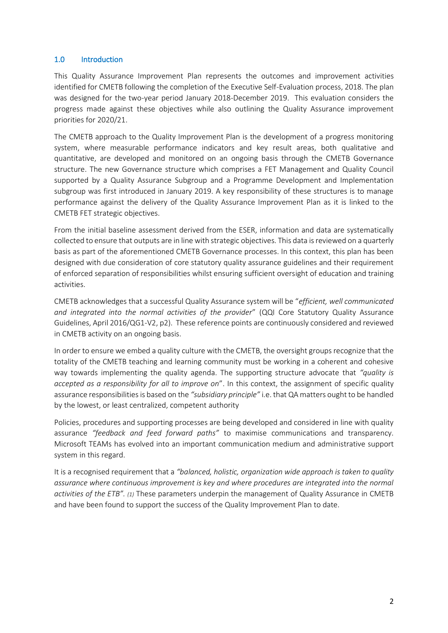## 1.0 Introduction

This Quality Assurance Improvement Plan represents the outcomes and improvement activities identified for CMETB following the completion of the Executive Self-Evaluation process, 2018. The plan was designed for the two-year period January 2018-December 2019. This evaluation considers the progress made against these objectives while also outlining the Quality Assurance improvement priorities for 2020/21.

The CMETB approach to the Quality Improvement Plan is the development of a progress monitoring system, where measurable performance indicators and key result areas, both qualitative and quantitative, are developed and monitored on an ongoing basis through the CMETB Governance structure. The new Governance structure which comprises a FET Management and Quality Council supported by a Quality Assurance Subgroup and a Programme Development and Implementation subgroup was first introduced in January 2019. A key responsibility of these structures is to manage performance against the delivery of the Quality Assurance Improvement Plan as it is linked to the CMETB FET strategic objectives.

From the initial baseline assessment derived from the ESER, information and data are systematically collected to ensure that outputs are in line with strategic objectives. This data is reviewed on a quarterly basis as part of the aforementioned CMETB Governance processes. In this context, this plan has been designed with due consideration of core statutory quality assurance guidelines and their requirement of enforced separation of responsibilities whilst ensuring sufficient oversight of education and training activities.

CMETB acknowledges that a successful Quality Assurance system will be "*efficient, well communicated and integrated into the normal activities of the provider*" (QQI Core Statutory Quality Assurance Guidelines, April 2016/QG1-V2, p2). These reference points are continuously considered and reviewed in CMETB activity on an ongoing basis.

In order to ensure we embed a quality culture with the CMETB, the oversight groups recognize that the totality of the CMETB teaching and learning community must be working in a coherent and cohesive way towards implementing the quality agenda. The supporting structure advocate that *"quality is accepted as a responsibility for all to improve on*". In this context, the assignment of specific quality assurance responsibilities is based on the *"subsidiary principle"* i.e. that QA matters ought to be handled by the lowest, or least centralized, competent authority

Policies, procedures and supporting processes are being developed and considered in line with quality assurance *"feedback and feed forward paths"* to maximise communications and transparency. Microsoft TEAMs has evolved into an important communication medium and administrative support system in this regard.

It is a recognised requirement that a *"balanced, holistic, organization wide approach is taken to quality assurance where continuous improvement is key and where procedures are integrated into the normal activities of the ETB". (1)* These parameters underpin the management of Quality Assurance in CMETB and have been found to support the success of the Quality Improvement Plan to date.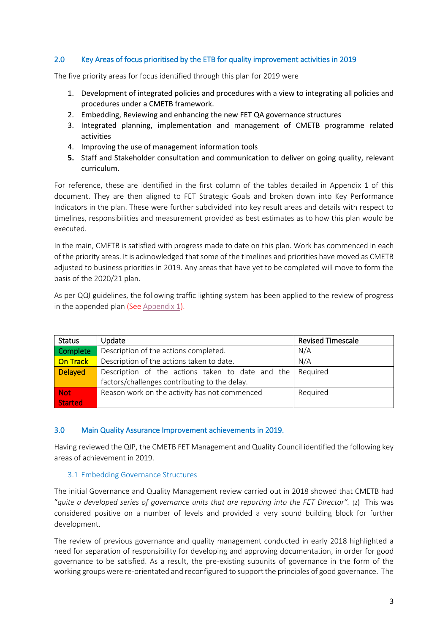## 2.0 Key Areas of focus prioritised by the ETB for quality improvement activities in 2019

The five priority areas for focus identified through this plan for 2019 were

- 1. Development of integrated policies and procedures with a view to integrating all policies and procedures under a CMETB framework.
- 2. Embedding, Reviewing and enhancing the new FET QA governance structures
- 3. Integrated planning, implementation and management of CMETB programme related activities
- 4. Improving the use of management information tools
- **5.** Staff and Stakeholder consultation and communication to deliver on going quality, relevant curriculum.

For reference, these are identified in the first column of the tables detailed in Appendix 1 of this document. They are then aligned to FET Strategic Goals and broken down into Key Performance Indicators in the plan. These were further subdivided into key result areas and details with respect to timelines, responsibilities and measurement provided as best estimates as to how this plan would be executed.

In the main, CMETB is satisfied with progress made to date on this plan. Work has commenced in each of the priority areas. It is acknowledged that some of the timelines and priorities have moved as CMETB adjusted to business priorities in 2019. Any areas that have yet to be completed will move to form the basis of the 2020/21 plan.

As per QQI guidelines, the following traffic lighting system has been applied to the review of progress in the appended plan (See [Appendix 1\)](#page-10-0).

| <b>Status</b>  | Update                                           | <b>Revised Timescale</b> |
|----------------|--------------------------------------------------|--------------------------|
| Complete       | Description of the actions completed.            | N/A                      |
| On Track       | Description of the actions taken to date.        | N/A                      |
| <b>Delayed</b> | Description of the actions taken to date and the | Required                 |
|                | factors/challenges contributing to the delay.    |                          |
| <b>Not</b>     | Reason work on the activity has not commenced    | Required                 |
| <b>Started</b> |                                                  |                          |

#### 3.0 Main Quality Assurance Improvement achievements in 2019.

Having reviewed the QIP, the CMETB FET Management and Quality Council identified the following key areas of achievement in 2019.

#### 3.1 Embedding Governance Structures

The initial Governance and Quality Management review carried out in 2018 showed that CMETB had "*quite a developed series of governance units that are reporting into the FET Director".* (2) This was considered positive on a number of levels and provided a very sound building block for further development.

The review of previous governance and quality management conducted in early 2018 highlighted a need for separation of responsibility for developing and approving documentation, in order for good governance to be satisfied. As a result, the pre-existing subunits of governance in the form of the working groups were re-orientated and reconfigured to support the principles of good governance. The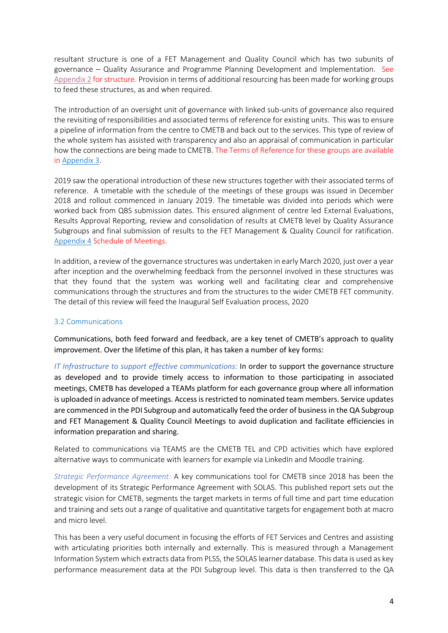resultant structure is one of a FET Management and Quality Council which has two subunits of governance – Quality Assurance and Programme Planning Development and Implementation. See [Appendix 2](#page-31-0) for structure. Provision in terms of additional resourcing has been made for working groups to feed these structures, as and when required.

The introduction of an oversight unit of governance with linked sub-units of governance also required the revisiting of responsibilities and associated terms of reference for existing units. This was to ensure a pipeline of information from the centre to CMETB and back out to the services. This type of review of the whole system has assisted with transparency and also an appraisal of communication in particular how the connections are being made to CMETB. The Terms of Reference for these groups are available i[n Appendix 3.](#page-32-0)

2019 saw the operational introduction of these new structures together with their associated terms of reference. A timetable with the schedule of the meetings of these groups was issued in December 2018 and rollout commenced in January 2019. The timetable was divided into periods which were worked back from QBS submission dates. This ensured alignment of centre led External Evaluations, Results Approval Reporting, review and consolidation of results at CMETB level by Quality Assurance Subgroups and final submission of results to the FET Management & Quality Council for ratification. [Appendix 4](#page-47-0) Schedule of Meetings.

In addition, a review of the governance structures was undertaken in early March 2020, just over a year after inception and the overwhelming feedback from the personnel involved in these structures was that they found that the system was working well and facilitating clear and comprehensive communications through the structures and from the structures to the wider CMETB FET community. The detail of this review will feed the Inaugural Self Evaluation process, 2020

#### 3.2 Communications

Communications, both feed forward and feedback, are a key tenet of CMETB's approach to quality improvement. Over the lifetime of this plan, it has taken a number of key forms:

*IT Infrastructure to support effective communications:* In order to support the governance structure as developed and to provide timely access to information to those participating in associated meetings, CMETB has developed a TEAMs platform for each governance group where all information is uploaded in advance of meetings. Access is restricted to nominated team members. Service updates are commenced in the PDI Subgroup and automatically feed the order of business in the QA Subgroup and FET Management & Quality Council Meetings to avoid duplication and facilitate efficiencies in information preparation and sharing.

Related to communications via TEAMS are the CMETB TEL and CPD activities which have explored alternative ways to communicate with learners for example via LinkedIn and Moodle training.

*Strategic Performance Agreement:* A key communications tool for CMETB since 2018 has been the development of its Strategic Performance Agreement with SOLAS. This published report sets out the strategic vision for CMETB, segments the target markets in terms of full time and part time education and training and sets out a range of qualitative and quantitative targets for engagement both at macro and micro level.

This has been a very useful document in focusing the efforts of FET Services and Centres and assisting with articulating priorities both internally and externally. This is measured through a Management Information System which extracts data from PLSS, the SOLAS learner database. This data is used as key performance measurement data at the PDI Subgroup level. This data is then transferred to the QA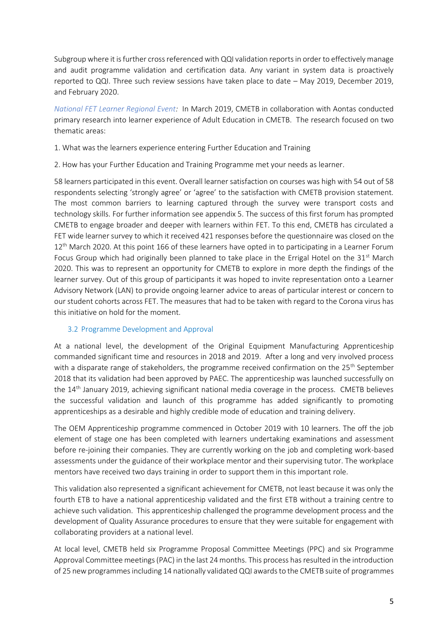Subgroup where it is further cross referenced with QQI validation reports in order to effectively manage and audit programme validation and certification data. Any variant in system data is proactively reported to QQI. Three such review sessions have taken place to date – May 2019, December 2019, and February 2020.

*National FET Learner Regional Event:* In March 2019, CMETB in collaboration with Aontas conducted primary research into learner experience of Adult Education in CMETB. The research focused on two thematic areas:

1. What was the learners experience entering Further Education and Training

2. How has your Further Education and Training Programme met your needs as learner.

58 learners participated in this event. Overall learner satisfaction on courses was high with 54 out of 58 respondents selecting 'strongly agree' or 'agree' to the satisfaction with CMETB provision statement. The most common barriers to learning captured through the survey were transport costs and technology skills. For further information see appendix 5. The success of this first forum has prompted CMETB to engage broader and deeper with learners within FET. To this end, CMETB has circulated a FET wide learner survey to which it received 421 responses before the questionnaire was closed on the 12<sup>th</sup> March 2020. At this point 166 of these learners have opted in to participating in a Learner Forum Focus Group which had originally been planned to take place in the Errigal Hotel on the  $31<sup>st</sup>$  March 2020. This was to represent an opportunity for CMETB to explore in more depth the findings of the learner survey. Out of this group of participants it was hoped to invite representation onto a Learner Advisory Network (LAN) to provide ongoing learner advice to areas of particular interest or concern to our student cohorts across FET. The measures that had to be taken with regard to the Corona virus has this initiative on hold for the moment.

## 3.2 Programme Development and Approval

At a national level, the development of the Original Equipment Manufacturing Apprenticeship commanded significant time and resources in 2018 and 2019. After a long and very involved process with a disparate range of stakeholders, the programme received confirmation on the 25<sup>th</sup> September 2018 that its validation had been approved by PAEC. The apprenticeship was launched successfully on the 14<sup>th</sup> January 2019, achieving significant national media coverage in the process. CMETB believes the successful validation and launch of this programme has added significantly to promoting apprenticeships as a desirable and highly credible mode of education and training delivery.

The OEM Apprenticeship programme commenced in October 2019 with 10 learners. The off the job element of stage one has been completed with learners undertaking examinations and assessment before re-joining their companies. They are currently working on the job and completing work-based assessments under the guidance of their workplace mentor and their supervising tutor. The workplace mentors have received two days training in order to support them in this important role.

This validation also represented a significant achievement for CMETB, not least because it was only the fourth ETB to have a national apprenticeship validated and the first ETB without a training centre to achieve such validation. This apprenticeship challenged the programme development process and the development of Quality Assurance procedures to ensure that they were suitable for engagement with collaborating providers at a national level.

At local level, CMETB held six Programme Proposal Committee Meetings (PPC) and six Programme Approval Committee meetings (PAC) in the last 24 months. This process has resulted in the introduction of 25 new programmes including 14 nationally validated QQI awards to the CMETB suite of programmes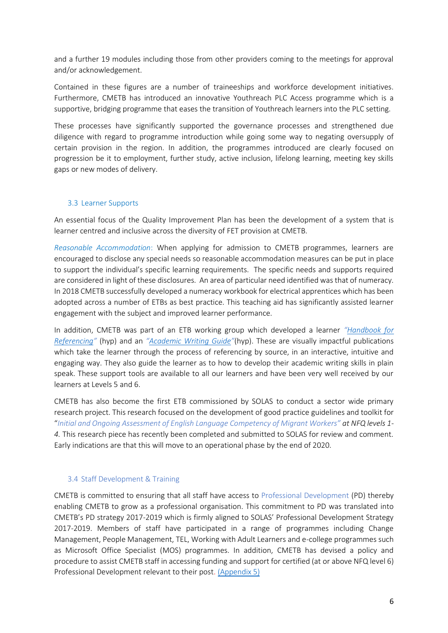and a further 19 modules including those from other providers coming to the meetings for approval and/or acknowledgement.

Contained in these figures are a number of traineeships and workforce development initiatives. Furthermore, CMETB has introduced an innovative Youthreach PLC Access programme which is a supportive, bridging programme that eases the transition of Youthreach learners into the PLC setting.

These processes have significantly supported the governance processes and strengthened due diligence with regard to programme introduction while going some way to negating oversupply of certain provision in the region. In addition, the programmes introduced are clearly focused on progression be it to employment, further study, active inclusion, lifelong learning, meeting key skills gaps or new modes of delivery.

#### 3.3 Learner Supports

An essential focus of the Quality Improvement Plan has been the development of a system that is learner centred and inclusive across the diversity of FET provision at CMETB.

*Reasonable Accommodation*: When applying for admission to CMETB programmes, learners are encouraged to disclose any special needs so reasonable accommodation measures can be put in place to support the individual's specific learning requirements. The specific needs and supports required are considered in light of these disclosures. An area of particular need identified was that of numeracy. In 2018 CMETB successfully developed a numeracy workbook for electrical apprentices which has been adopted across a number of ETBs as best practice. This teaching aid has significantly assisted learner engagement with the subject and improved learner performance.

In addition, CMETB was part of an ETB working group which developed a learner *"[Handbook for](https://fess.ie/images/stories/ResourcesForTutors/Referencing_Handbook_files/Referencing_Handbook_February_2019.pdf)  [Referencing](https://fess.ie/images/stories/ResourcesForTutors/Referencing_Handbook_files/Referencing_Handbook_February_2019.pdf)"* (hyp) and an *"[Academic Writing Guide](https://fess.ie/images/stories/ResourcesForTutors/AcademicWritingHandbookForLearnersInTheFETSector.pdf)"*(hyp). These are visually impactful publications which take the learner through the process of referencing by source, in an interactive, intuitive and engaging way. They also guide the learner as to how to develop their academic writing skills in plain speak. These support tools are available to all our learners and have been very well received by our learners at Levels 5 and 6.

CMETB has also become the first ETB commissioned by SOLAS to conduct a sector wide primary research project. This research focused on the development of good practice guidelines and toolkit for "*Initial and Ongoing Assessment of English Language Competency of Migrant Workers" at NFQ levels 1- 4.* This research piece has recently been completed and submitted to SOLAS for review and comment. Early indications are that this will move to an operational phase by the end of 2020.

#### 3.4 Staff Development & Training

CMETB is committed to ensuring that all staff have access to Professional Development (PD) thereby enabling CMETB to grow as a professional organisation. This commitment to PD was translated into CMETB's PD strategy 2017-2019 which is firmly aligned to SOLAS' Professional Development Strategy 2017-2019. Members of staff have participated in a range of programmes including Change Management, People Management, TEL, Working with Adult Learners and e-college programmes such as Microsoft Office Specialist (MOS) programmes. In addition, CMETB has devised a policy and procedure to assist CMETB staff in accessing funding and support for certified (at or above NFQ level 6) Professional Development relevant to their post. [\(Appendix 5\)](#page-48-0)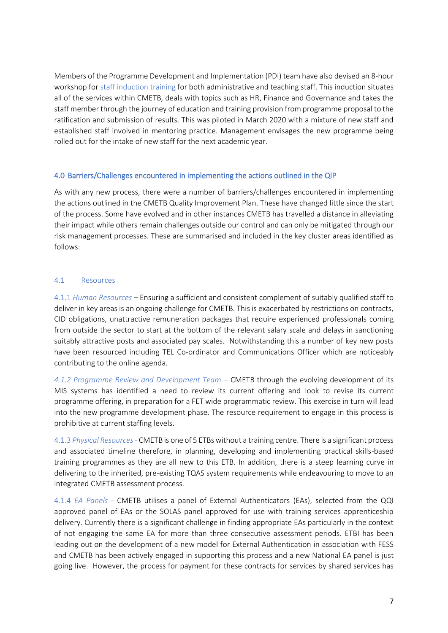Members of the Programme Development and Implementation (PDI) team have also devised an 8-hour workshop for staff induction training for both administrative and teaching staff. This induction situates all of the services within CMETB, deals with topics such as HR, Finance and Governance and takes the staff member through the journey of education and training provision from programme proposal to the ratification and submission of results. This was piloted in March 2020 with a mixture of new staff and established staff involved in mentoring practice. Management envisages the new programme being rolled out for the intake of new staff for the next academic year.

## 4.0 Barriers/Challenges encountered in implementing the actions outlined in the QIP

As with any new process, there were a number of barriers/challenges encountered in implementing the actions outlined in the CMETB Quality Improvement Plan. These have changed little since the start of the process. Some have evolved and in other instances CMETB has travelled a distance in alleviating their impact while others remain challenges outside our control and can only be mitigated through our risk management processes. These are summarised and included in the key cluster areas identified as follows:

#### 4.1 Resources

4.1.1 *Human Resources* – Ensuring a sufficient and consistent complement of suitably qualified staff to deliver in key areas is an ongoing challenge for CMETB. This is exacerbated by restrictions on contracts, CID obligations, unattractive remuneration packages that require experienced professionals coming from outside the sector to start at the bottom of the relevant salary scale and delays in sanctioning suitably attractive posts and associated pay scales. Notwithstanding this a number of key new posts have been resourced including TEL Co-ordinator and Communications Officer which are noticeably contributing to the online agenda.

*4.1.2 Programme Review and Development Team* – CMETB through the evolving development of its MIS systems has identified a need to review its current offering and look to revise its current programme offering, in preparation for a FET wide programmatic review. This exercise in turn will lead into the new programme development phase. The resource requirement to engage in this process is prohibitive at current staffing levels.

4.1.3 *Physical Resources*- CMETB is one of 5 ETBs without a training centre. There is a significant process and associated timeline therefore, in planning, developing and implementing practical skills-based training programmes as they are all new to this ETB. In addition, there is a steep learning curve in delivering to the inherited, pre-existing TQAS system requirements while endeavouring to move to an integrated CMETB assessment process.

4.1.4 *EA Panels* - CMETB utilises a panel of External Authenticators (EAs), selected from the QQI approved panel of EAs or the SOLAS panel approved for use with training services apprenticeship delivery. Currently there is a significant challenge in finding appropriate EAs particularly in the context of not engaging the same EA for more than three consecutive assessment periods. ETBI has been leading out on the development of a new model for External Authentication in association with FESS and CMETB has been actively engaged in supporting this process and a new National EA panel is just going live. However, the process for payment for these contracts for services by shared services has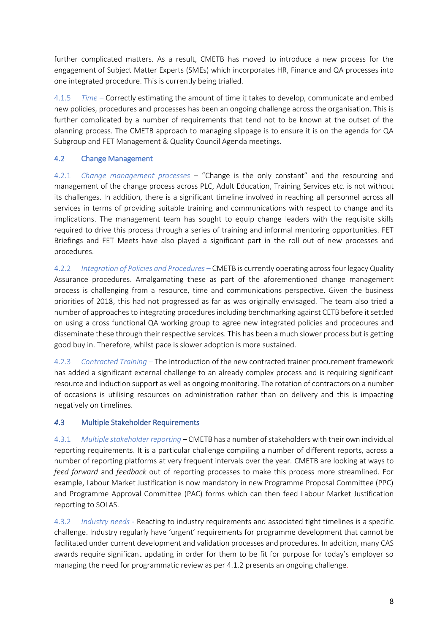further complicated matters. As a result, CMETB has moved to introduce a new process for the engagement of Subject Matter Experts (SMEs) which incorporates HR, Finance and QA processes into one integrated procedure. This is currently being trialled.

4.1.5 *Time* – Correctly estimating the amount of time it takes to develop, communicate and embed new policies, procedures and processes has been an ongoing challenge across the organisation. This is further complicated by a number of requirements that tend not to be known at the outset of the planning process. The CMETB approach to managing slippage is to ensure it is on the agenda for QA Subgroup and FET Management & Quality Council Agenda meetings.

## 4.2 Change Management

4.2.1 *Change management processes* – "Change is the only constant" and the resourcing and management of the change process across PLC, Adult Education, Training Services etc. is not without its challenges. In addition, there is a significant timeline involved in reaching all personnel across all services in terms of providing suitable training and communications with respect to change and its implications. The management team has sought to equip change leaders with the requisite skills required to drive this process through a series of training and informal mentoring opportunities. FET Briefings and FET Meets have also played a significant part in the roll out of new processes and procedures.

4.2.2 *Integration of Policies and Procedures* – CMETB is currently operating across four legacy Quality Assurance procedures. Amalgamating these as part of the aforementioned change management process is challenging from a resource, time and communications perspective. Given the business priorities of 2018, this had not progressed as far as was originally envisaged. The team also tried a number of approaches to integrating procedures including benchmarking against CETB before it settled on using a cross functional QA working group to agree new integrated policies and procedures and disseminate these through their respective services. This has been a much slower process but is getting good buy in. Therefore, whilst pace is slower adoption is more sustained.

4.2.3 *Contracted Training* – The introduction of the new contracted trainer procurement framework has added a significant external challenge to an already complex process and is requiring significant resource and induction support as well as ongoing monitoring. The rotation of contractors on a number of occasions is utilising resources on administration rather than on delivery and this is impacting negatively on timelines.

## *4*.3 Multiple Stakeholder Requirements

4.3.1 *Multiple stakeholder reporting* – CMETB has a number of stakeholders with their own individual reporting requirements. It is a particular challenge compiling a number of different reports, across a number of reporting platforms at very frequent intervals over the year. CMETB are looking at ways to *feed forward* and *feedback* out of reporting processes to make this process more streamlined. For example, Labour Market Justification is now mandatory in new Programme Proposal Committee (PPC) and Programme Approval Committee (PAC) forms which can then feed Labour Market Justification reporting to SOLAS.

4.3.2 *Industry needs* - Reacting to industry requirements and associated tight timelines is a specific challenge. Industry regularly have 'urgent' requirements for programme development that cannot be facilitated under current development and validation processes and procedures. In addition, many CAS awards require significant updating in order for them to be fit for purpose for today's employer so managing the need for programmatic review as per 4.1.2 presents an ongoing challenge.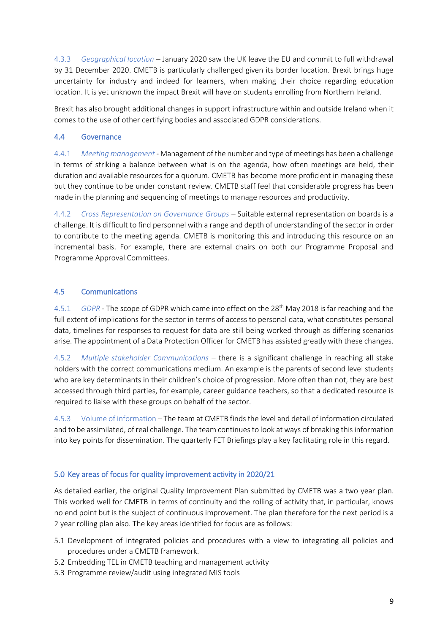4.3.3 *Geographical location* – January 2020 saw the UK leave the EU and commit to full withdrawal by 31 December 2020. CMETB is particularly challenged given its border location. Brexit brings huge uncertainty for industry and indeed for learners, when making their choice regarding education location. It is yet unknown the impact Brexit will have on students enrolling from Northern Ireland.

Brexit has also brought additional changes in support infrastructure within and outside Ireland when it comes to the use of other certifying bodies and associated GDPR considerations.

## 4.4 Governance

4.4.1 *Meeting management* - Management of the number and type of meetings has been a challenge in terms of striking a balance between what is on the agenda, how often meetings are held, their duration and available resources for a quorum. CMETB has become more proficient in managing these but they continue to be under constant review. CMETB staff feel that considerable progress has been made in the planning and sequencing of meetings to manage resources and productivity.

4.4.2 *Cross Representation on Governance Groups* – Suitable external representation on boards is a challenge. It is difficult to find personnel with a range and depth of understanding of the sector in order to contribute to the meeting agenda. CMETB is monitoring this and introducing this resource on an incremental basis. For example, there are external chairs on both our Programme Proposal and Programme Approval Committees.

## 4.5 Communications

4.5.1 *GDPR* - The scope of GDPR which came into effect on the 28th May 2018 is far reaching and the full extent of implications for the sector in terms of access to personal data, what constitutes personal data, timelines for responses to request for data are still being worked through as differing scenarios arise. The appointment of a Data Protection Officer for CMETB has assisted greatly with these changes.

4.5.2 *Multiple stakeholder Communications* – there is a significant challenge in reaching all stake holders with the correct communications medium. An example is the parents of second level students who are key determinants in their children's choice of progression. More often than not, they are best accessed through third parties, for example, career guidance teachers, so that a dedicated resource is required to liaise with these groups on behalf of the sector.

4.5.3 Volume of information – The team at CMETB finds the level and detail of information circulated and to be assimilated, of real challenge. The team continues to look at ways of breaking this information into key points for dissemination. The quarterly FET Briefings play a key facilitating role in this regard.

## 5.0 Key areas of focus for quality improvement activity in 2020/21

As detailed earlier, the original Quality Improvement Plan submitted by CMETB was a two year plan. This worked well for CMETB in terms of continuity and the rolling of activity that, in particular, knows no end point but is the subject of continuous improvement. The plan therefore for the next period is a 2 year rolling plan also. The key areas identified for focus are as follows:

- 5.1 Development of integrated policies and procedures with a view to integrating all policies and procedures under a CMETB framework.
- 5.2 Embedding TEL in CMETB teaching and management activity
- 5.3 Programme review/audit using integrated MIS tools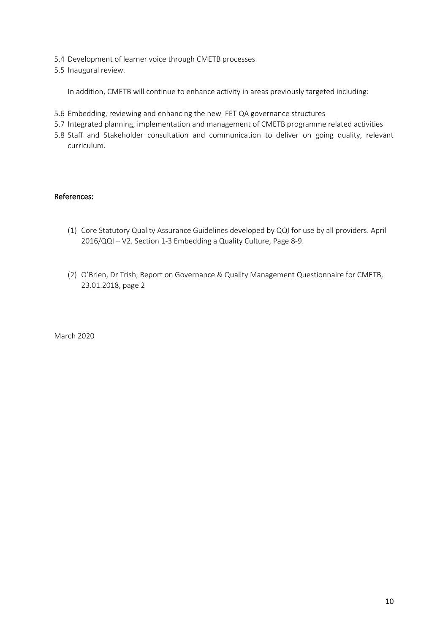- 5.4 Development of learner voice through CMETB processes
- 5.5 Inaugural review.

In addition, CMETB will continue to enhance activity in areas previously targeted including:

- 5.6 Embedding, reviewing and enhancing the new FET QA governance structures
- 5.7 Integrated planning, implementation and management of CMETB programme related activities
- 5.8 Staff and Stakeholder consultation and communication to deliver on going quality, relevant curriculum.

## References:

- (1) Core Statutory Quality Assurance Guidelines developed by QQI for use by all providers. April 2016/QQI – V2. Section 1-3 Embedding a Quality Culture, Page 8-9.
- (2) O'Brien, Dr Trish, Report on Governance & Quality Management Questionnaire for CMETB, 23.01.2018, page 2

March 2020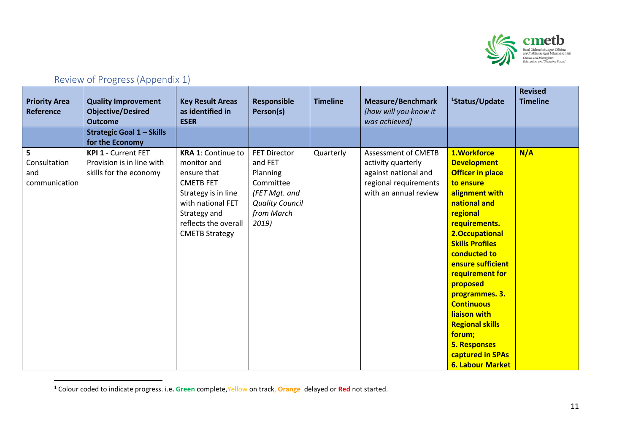

# Review of Progress (Appendix 1)

<span id="page-10-0"></span>

| <b>Priority Area</b><br><b>Reference</b>  | <b>Quality Improvement</b><br><b>Objective/Desired</b><br><b>Outcome</b>   | <b>Key Result Areas</b><br>as identified in<br><b>ESER</b>                                                                                                                               | <b>Responsible</b><br>Person(s)                                                                                           | <b>Timeline</b> | <b>Measure/Benchmark</b><br>[how will you know it<br>was achieved]                                                         | <sup>1</sup> Status/Update                                                                                                                                                                                                                                                                                                                                                                                                | <b>Revised</b><br><b>Timeline</b> |
|-------------------------------------------|----------------------------------------------------------------------------|------------------------------------------------------------------------------------------------------------------------------------------------------------------------------------------|---------------------------------------------------------------------------------------------------------------------------|-----------------|----------------------------------------------------------------------------------------------------------------------------|---------------------------------------------------------------------------------------------------------------------------------------------------------------------------------------------------------------------------------------------------------------------------------------------------------------------------------------------------------------------------------------------------------------------------|-----------------------------------|
|                                           | <b>Strategic Goal 1 - Skills</b><br>for the Economy                        |                                                                                                                                                                                          |                                                                                                                           |                 |                                                                                                                            |                                                                                                                                                                                                                                                                                                                                                                                                                           |                                   |
| 5<br>Consultation<br>and<br>communication | KPI 1 - Current FET<br>Provision is in line with<br>skills for the economy | <b>KRA 1: Continue to</b><br>monitor and<br>ensure that<br><b>CMETB FET</b><br>Strategy is in line<br>with national FET<br>Strategy and<br>reflects the overall<br><b>CMETB Strategy</b> | <b>FET Director</b><br>and FET<br>Planning<br>Committee<br>(FET Mgt. and<br><b>Quality Council</b><br>from March<br>2019) | Quarterly       | <b>Assessment of CMETB</b><br>activity quarterly<br>against national and<br>regional requirements<br>with an annual review | 1.Workforce<br><b>Development</b><br><b>Officer in place</b><br>to ensure<br>alignment with<br>national and<br>regional<br>requirements.<br>2.Occupational<br><b>Skills Profiles</b><br>conducted to<br>ensure sufficient<br>requirement for<br>proposed<br>programmes. 3.<br><b>Continuous</b><br>liaison with<br><b>Regional skills</b><br>forum;<br><b>5. Responses</b><br>captured in SPAs<br><b>6. Labour Market</b> | N/A                               |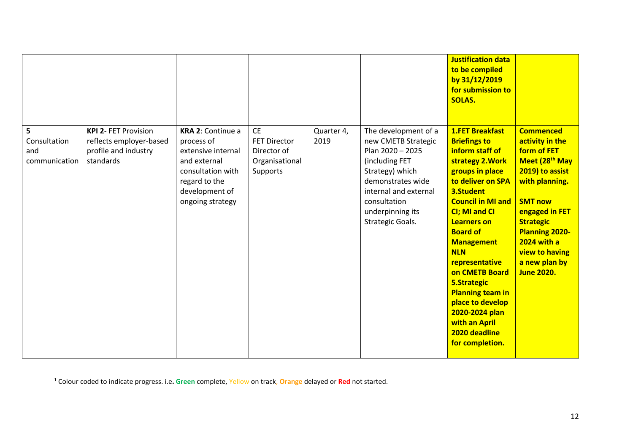|                                           |                                                                                             |                                                                                                                                                   |                                                                               |                    |                                                                                                                                                                                                            | <b>Justification data</b><br>to be compiled<br>by 31/12/2019<br>for submission to<br><b>SOLAS.</b>                                                                                                                                                                                                                                                                                                                                                 |                                                                                                                                                                                                                                                                                      |
|-------------------------------------------|---------------------------------------------------------------------------------------------|---------------------------------------------------------------------------------------------------------------------------------------------------|-------------------------------------------------------------------------------|--------------------|------------------------------------------------------------------------------------------------------------------------------------------------------------------------------------------------------------|----------------------------------------------------------------------------------------------------------------------------------------------------------------------------------------------------------------------------------------------------------------------------------------------------------------------------------------------------------------------------------------------------------------------------------------------------|--------------------------------------------------------------------------------------------------------------------------------------------------------------------------------------------------------------------------------------------------------------------------------------|
| 5<br>Consultation<br>and<br>communication | <b>KPI 2- FET Provision</b><br>reflects employer-based<br>profile and industry<br>standards | KRA 2: Continue a<br>process of<br>extensive internal<br>and external<br>consultation with<br>regard to the<br>development of<br>ongoing strategy | <b>CE</b><br><b>FET Director</b><br>Director of<br>Organisational<br>Supports | Quarter 4,<br>2019 | The development of a<br>new CMETB Strategic<br>Plan 2020 - 2025<br>(including FET<br>Strategy) which<br>demonstrates wide<br>internal and external<br>consultation<br>underpinning its<br>Strategic Goals. | <b>1.FET Breakfast</b><br><b>Briefings to</b><br>inform staff of<br>strategy 2. Work<br>groups in place<br>to deliver on SPA<br>3.Student<br><b>Council in MI and</b><br>CI; MI and CI<br><b>Learners on</b><br><b>Board of</b><br><b>Management</b><br><b>NLN</b><br>representative<br>on CMETB Board<br><b>5.Strategic</b><br><b>Planning team in</b><br>place to develop<br>2020-2024 plan<br>with an April<br>2020 deadline<br>for completion. | <b>Commenced</b><br>activity in the<br>form of FET<br>Meet (28 <sup>th</sup> May<br>2019) to assist<br>with planning.<br><b>SMT now</b><br>engaged in FET<br><b>Strategic</b><br><b>Planning 2020-</b><br><b>2024 with a</b><br>view to having<br>a new plan by<br><b>June 2020.</b> |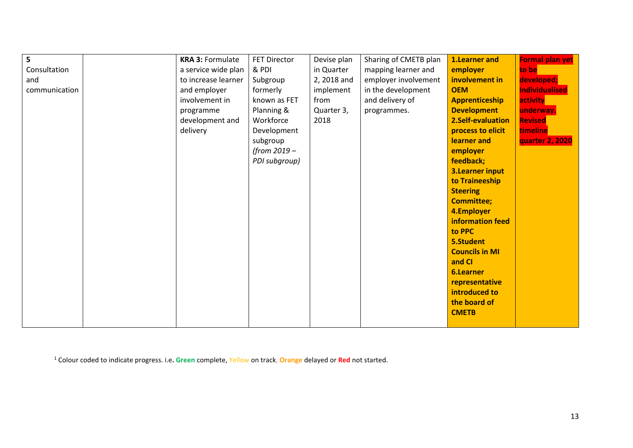| 5             | <b>KRA 3: Formulate</b> | <b>FET Director</b> | Devise plan | Sharing of CMETB plan | 1.Learner and          | Formal plan yet |
|---------------|-------------------------|---------------------|-------------|-----------------------|------------------------|-----------------|
| Consultation  | a service wide plan     | & PDI               | in Quarter  | mapping learner and   | employer               | to be           |
| and           | to increase learner     | Subgroup            | 2, 2018 and | employer involvement  | involvement in         | developed;      |
| communication | and employer            | formerly            | implement   | in the development    | <b>OEM</b>             | Individualised  |
|               | involvement in          | known as FET        | from        | and delivery of       | <b>Apprenticeship</b>  | activity        |
|               | programme               | Planning &          | Quarter 3,  | programmes.           | <b>Development</b>     | underway.       |
|               | development and         | Workforce           | 2018        |                       | 2.Self-evaluation      | <b>Revised</b>  |
|               | delivery                | Development         |             |                       | process to elicit      | timeline        |
|               |                         | subgroup            |             |                       | learner and            | quarter 2, 2020 |
|               |                         | (from 2019 -        |             |                       | employer               |                 |
|               |                         | PDI subgroup)       |             |                       | feedback;              |                 |
|               |                         |                     |             |                       | <b>3.Learner input</b> |                 |
|               |                         |                     |             |                       | to Traineeship         |                 |
|               |                         |                     |             |                       | <b>Steering</b>        |                 |
|               |                         |                     |             |                       | <b>Committee;</b>      |                 |
|               |                         |                     |             |                       | 4.Employer             |                 |
|               |                         |                     |             |                       | information feed       |                 |
|               |                         |                     |             |                       | to PPC                 |                 |
|               |                         |                     |             |                       | 5.Student              |                 |
|               |                         |                     |             |                       | <b>Councils in MI</b>  |                 |
|               |                         |                     |             |                       | and CI                 |                 |
|               |                         |                     |             |                       | <b>6.Learner</b>       |                 |
|               |                         |                     |             |                       | representative         |                 |
|               |                         |                     |             |                       | introduced to          |                 |
|               |                         |                     |             |                       | the board of           |                 |
|               |                         |                     |             |                       | <b>CMETB</b>           |                 |
|               |                         |                     |             |                       |                        |                 |
|               |                         |                     |             |                       |                        |                 |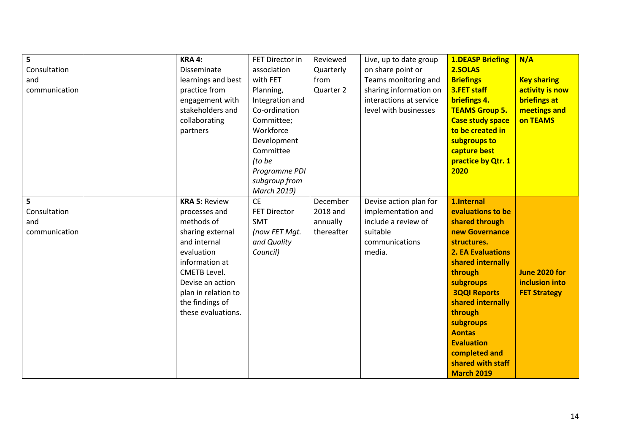| 5             | <b>KRA 4:</b>        | FET Director in     | Reviewed   | Live, up to date group  | <b>1.DEASP Briefing</b>  | N/A                 |
|---------------|----------------------|---------------------|------------|-------------------------|--------------------------|---------------------|
| Consultation  | Disseminate          | association         | Quarterly  | on share point or       | 2.SOLAS                  |                     |
| and           | learnings and best   | with FET            | from       | Teams monitoring and    | <b>Briefings</b>         | <b>Key sharing</b>  |
| communication | practice from        | Planning,           | Quarter 2  | sharing information on  | 3.FET staff              | activity is now     |
|               | engagement with      | Integration and     |            | interactions at service | briefings 4.             | <b>briefings at</b> |
|               | stakeholders and     | Co-ordination       |            | level with businesses   | <b>TEAMS Group 5.</b>    | meetings and        |
|               | collaborating        | Committee;          |            |                         | <b>Case study space</b>  | on TEAMS            |
|               |                      | Workforce           |            |                         | to be created in         |                     |
|               | partners             |                     |            |                         |                          |                     |
|               |                      | Development         |            |                         | subgroups to             |                     |
|               |                      | Committee           |            |                         | capture best             |                     |
|               |                      | (to be              |            |                         | practice by Qtr. 1       |                     |
|               |                      | Programme PDI       |            |                         | 2020                     |                     |
|               |                      | subgroup from       |            |                         |                          |                     |
|               |                      | March 2019)         |            |                         |                          |                     |
| 5             | <b>KRA 5: Review</b> | <b>CE</b>           | December   | Devise action plan for  | 1.Internal               |                     |
| Consultation  | processes and        | <b>FET Director</b> | 2018 and   | implementation and      | evaluations to be        |                     |
| and           | methods of           | <b>SMT</b>          | annually   | include a review of     | shared through           |                     |
| communication | sharing external     | (now FET Mgt.       | thereafter | suitable                | new Governance           |                     |
|               | and internal         | and Quality         |            | communications          | structures.              |                     |
|               | evaluation           | Council)            |            | media.                  | <b>2. EA Evaluations</b> |                     |
|               | information at       |                     |            |                         | shared internally        |                     |
|               | <b>CMETB Level.</b>  |                     |            |                         | through                  | June 2020 for       |
|               | Devise an action     |                     |            |                         | subgroups                | inclusion into      |
|               | plan in relation to  |                     |            |                         | <b>3QQI Reports</b>      | <b>FET Strategy</b> |
|               | the findings of      |                     |            |                         | shared internally        |                     |
|               | these evaluations.   |                     |            |                         | through                  |                     |
|               |                      |                     |            |                         | subgroups                |                     |
|               |                      |                     |            |                         | <b>Aontas</b>            |                     |
|               |                      |                     |            |                         | <b>Evaluation</b>        |                     |
|               |                      |                     |            |                         | completed and            |                     |
|               |                      |                     |            |                         | shared with staff        |                     |
|               |                      |                     |            |                         | <b>March 2019</b>        |                     |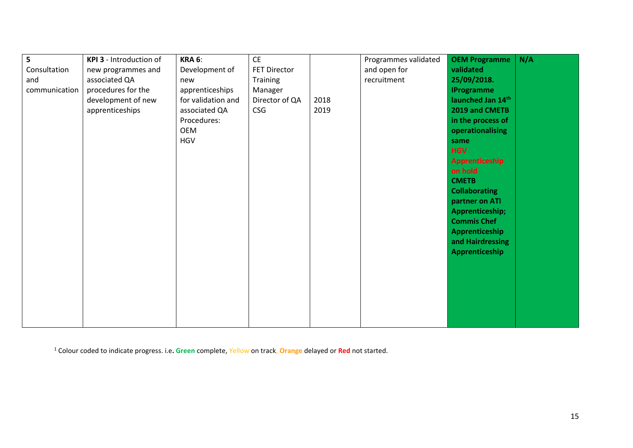| 5             | KPI 3 - Introduction of | <b>KRA 6:</b>      | <b>CE</b>           |      | Programmes validated | <b>OEM Programme</b> | N/A |
|---------------|-------------------------|--------------------|---------------------|------|----------------------|----------------------|-----|
| Consultation  | new programmes and      | Development of     | <b>FET Director</b> |      | and open for         | validated            |     |
| and           | associated QA           | new                | Training            |      | recruitment          | 25/09/2018.          |     |
| communication | procedures for the      | apprenticeships    | Manager             |      |                      | <b>IProgramme</b>    |     |
|               | development of new      | for validation and | Director of QA      | 2018 |                      | launched Jan 14th    |     |
|               | apprenticeships         | associated QA      | <b>CSG</b>          | 2019 |                      | 2019 and CMETB       |     |
|               |                         | Procedures:        |                     |      |                      | in the process of    |     |
|               |                         | OEM                |                     |      |                      | operationalising     |     |
|               |                         | <b>HGV</b>         |                     |      |                      | same                 |     |
|               |                         |                    |                     |      |                      | <b>HGV</b>           |     |
|               |                         |                    |                     |      |                      | Apprenticeship       |     |
|               |                         |                    |                     |      |                      | on hold              |     |
|               |                         |                    |                     |      |                      | <b>CMETB</b>         |     |
|               |                         |                    |                     |      |                      | <b>Collaborating</b> |     |
|               |                         |                    |                     |      |                      | partner on ATI       |     |
|               |                         |                    |                     |      |                      | Apprenticeship;      |     |
|               |                         |                    |                     |      |                      | <b>Commis Chef</b>   |     |
|               |                         |                    |                     |      |                      | Apprenticeship       |     |
|               |                         |                    |                     |      |                      | and Hairdressing     |     |
|               |                         |                    |                     |      |                      | Apprenticeship       |     |
|               |                         |                    |                     |      |                      |                      |     |
|               |                         |                    |                     |      |                      |                      |     |
|               |                         |                    |                     |      |                      |                      |     |
|               |                         |                    |                     |      |                      |                      |     |
|               |                         |                    |                     |      |                      |                      |     |
|               |                         |                    |                     |      |                      |                      |     |
|               |                         |                    |                     |      |                      |                      |     |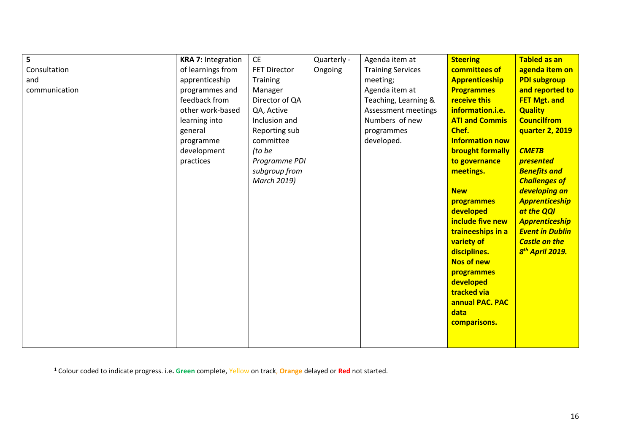| 5             | <b>KRA 7: Integration</b> | <b>CE</b>           | Quarterly - | Agenda item at           | <b>Steering</b>         | <b>Tabled as an</b>         |
|---------------|---------------------------|---------------------|-------------|--------------------------|-------------------------|-----------------------------|
| Consultation  | of learnings from         | <b>FET Director</b> | Ongoing     | <b>Training Services</b> | committees of           | agenda item on              |
| and           | apprenticeship            | Training            |             | meeting;                 | <b>Apprenticeship</b>   | <b>PDI subgroup</b>         |
| communication | programmes and            | Manager             |             | Agenda item at           | <b>Programmes</b>       | and reported to             |
|               | feedback from             | Director of QA      |             | Teaching, Learning &     | receive this            | <b>FET Mgt. and</b>         |
|               | other work-based          | QA, Active          |             | Assessment meetings      | information.i.e.        | <b>Quality</b>              |
|               | learning into             | Inclusion and       |             | Numbers of new           | <b>ATI and Commis</b>   | <b>Councilfrom</b>          |
|               | general                   | Reporting sub       |             | programmes               | Chef.                   | quarter 2, 2019             |
|               | programme                 | committee           |             | developed.               | <b>Information now</b>  |                             |
|               | development               | (to be              |             |                          | <b>brought formally</b> | <b>CMETB</b>                |
|               | practices                 | Programme PDI       |             |                          | to governance           | presented                   |
|               |                           | subgroup from       |             |                          | meetings.               | <b>Benefits and</b>         |
|               |                           | March 2019)         |             |                          |                         | <b>Challenges of</b>        |
|               |                           |                     |             |                          | <b>New</b>              | developing an               |
|               |                           |                     |             |                          | programmes              | <b>Apprenticeship</b>       |
|               |                           |                     |             |                          | developed               | at the QQI                  |
|               |                           |                     |             |                          | include five new        | <b>Apprenticeship</b>       |
|               |                           |                     |             |                          | traineeships in a       | <b>Event in Dublin</b>      |
|               |                           |                     |             |                          | variety of              | <b>Castle on the</b>        |
|               |                           |                     |             |                          | disciplines.            | 8 <sup>th</sup> April 2019. |
|               |                           |                     |             |                          | Nos of new              |                             |
|               |                           |                     |             |                          | programmes              |                             |
|               |                           |                     |             |                          | developed               |                             |
|               |                           |                     |             |                          | tracked via             |                             |
|               |                           |                     |             |                          | annual PAC. PAC         |                             |
|               |                           |                     |             |                          | data                    |                             |
|               |                           |                     |             |                          | comparisons.            |                             |
|               |                           |                     |             |                          |                         |                             |
|               |                           |                     |             |                          |                         |                             |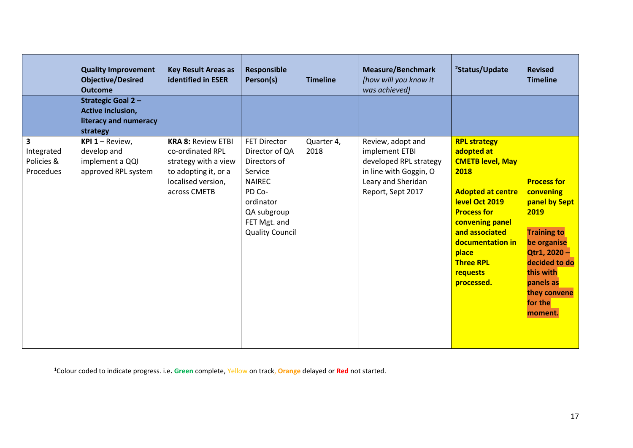|                                            | <b>Quality Improvement</b><br><b>Objective/Desired</b><br><b>Outcome</b>                  | <b>Key Result Areas as</b><br>identified in ESER                                                                                    | <b>Responsible</b><br>Person(s)                                                                                                                                   | <b>Timeline</b>    | <b>Measure/Benchmark</b><br>[how will you know it<br>was achieved]                                                                 | <sup>2</sup> Status/Update                                                                                                                                                                                                                               | <b>Revised</b><br><b>Timeline</b>                                                                                                                                                             |
|--------------------------------------------|-------------------------------------------------------------------------------------------|-------------------------------------------------------------------------------------------------------------------------------------|-------------------------------------------------------------------------------------------------------------------------------------------------------------------|--------------------|------------------------------------------------------------------------------------------------------------------------------------|----------------------------------------------------------------------------------------------------------------------------------------------------------------------------------------------------------------------------------------------------------|-----------------------------------------------------------------------------------------------------------------------------------------------------------------------------------------------|
|                                            | <b>Strategic Goal 2-</b><br><b>Active inclusion,</b><br>literacy and numeracy<br>strategy |                                                                                                                                     |                                                                                                                                                                   |                    |                                                                                                                                    |                                                                                                                                                                                                                                                          |                                                                                                                                                                                               |
| 3<br>Integrated<br>Policies &<br>Procedues | <b>KPI 1 - Review,</b><br>develop and<br>implement a QQI<br>approved RPL system           | <b>KRA 8: Review ETBI</b><br>co-ordinated RPL<br>strategy with a view<br>to adopting it, or a<br>localised version,<br>across CMETB | <b>FET Director</b><br>Director of QA<br>Directors of<br>Service<br><b>NAIREC</b><br>PD Co-<br>ordinator<br>QA subgroup<br>FET Mgt. and<br><b>Quality Council</b> | Quarter 4,<br>2018 | Review, adopt and<br>implement ETBI<br>developed RPL strategy<br>in line with Goggin, O<br>Leary and Sheridan<br>Report, Sept 2017 | <b>RPL strategy</b><br>adopted at<br><b>CMETB level, May</b><br>2018<br><b>Adopted at centre</b><br>level Oct 2019<br><b>Process for</b><br>convening panel<br>and associated<br>documentation in<br>place<br><b>Three RPL</b><br>requests<br>processed. | <b>Process for</b><br>convening<br>panel by Sept<br>2019<br><b>Training to</b><br>be organise<br>Qtr1, 2020-<br>decided to do<br>this with<br>panels as<br>they convene<br>for the<br>moment. |

<sup>1</sup>Colour coded to indicate progress. i.e**. Green** complete, Yellow on track, **Orange** delayed or **Red** not started.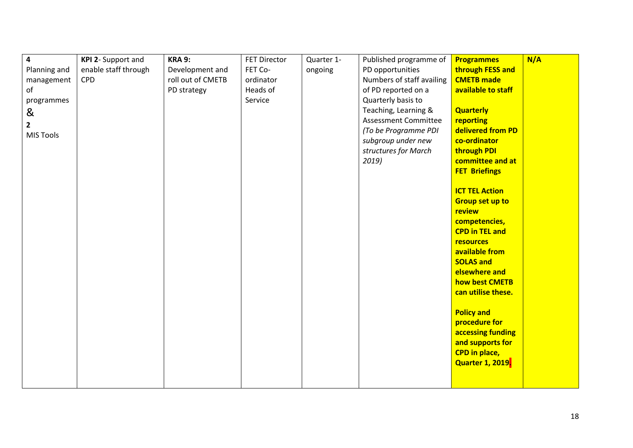| $\overline{\mathbf{4}}$ | KPI 2- Support and   | <b>KRA 9:</b>     | <b>FET Director</b> | Quarter 1- | Published programme of      | <b>Programmes</b>       | N/A |
|-------------------------|----------------------|-------------------|---------------------|------------|-----------------------------|-------------------------|-----|
| Planning and            | enable staff through | Development and   | FET Co-             | ongoing    | PD opportunities            | through FESS and        |     |
| management              | <b>CPD</b>           | roll out of CMETB | ordinator           |            | Numbers of staff availing   | <b>CMETB made</b>       |     |
| of                      |                      | PD strategy       | Heads of            |            | of PD reported on a         | available to staff      |     |
| programmes              |                      |                   | Service             |            | Quarterly basis to          |                         |     |
| &                       |                      |                   |                     |            | Teaching, Learning &        | <b>Quarterly</b>        |     |
| $\overline{2}$          |                      |                   |                     |            | <b>Assessment Committee</b> | reporting               |     |
| <b>MIS Tools</b>        |                      |                   |                     |            | (To be Programme PDI        | delivered from PD       |     |
|                         |                      |                   |                     |            | subgroup under new          | co-ordinator            |     |
|                         |                      |                   |                     |            | structures for March        | through PDI             |     |
|                         |                      |                   |                     |            | 2019                        | committee and at        |     |
|                         |                      |                   |                     |            |                             | <b>FET Briefings</b>    |     |
|                         |                      |                   |                     |            |                             |                         |     |
|                         |                      |                   |                     |            |                             | <b>ICT TEL Action</b>   |     |
|                         |                      |                   |                     |            |                             | <b>Group set up to</b>  |     |
|                         |                      |                   |                     |            |                             | review                  |     |
|                         |                      |                   |                     |            |                             | competencies,           |     |
|                         |                      |                   |                     |            |                             | <b>CPD in TEL and</b>   |     |
|                         |                      |                   |                     |            |                             | resources               |     |
|                         |                      |                   |                     |            |                             | available from          |     |
|                         |                      |                   |                     |            |                             | <b>SOLAS and</b>        |     |
|                         |                      |                   |                     |            |                             | elsewhere and           |     |
|                         |                      |                   |                     |            |                             | how best CMETB          |     |
|                         |                      |                   |                     |            |                             | can utilise these.      |     |
|                         |                      |                   |                     |            |                             |                         |     |
|                         |                      |                   |                     |            |                             | <b>Policy and</b>       |     |
|                         |                      |                   |                     |            |                             | procedure for           |     |
|                         |                      |                   |                     |            |                             | accessing funding       |     |
|                         |                      |                   |                     |            |                             | and supports for        |     |
|                         |                      |                   |                     |            |                             | <b>CPD in place,</b>    |     |
|                         |                      |                   |                     |            |                             | <b>Quarter 1, 2019.</b> |     |
|                         |                      |                   |                     |            |                             |                         |     |
|                         |                      |                   |                     |            |                             |                         |     |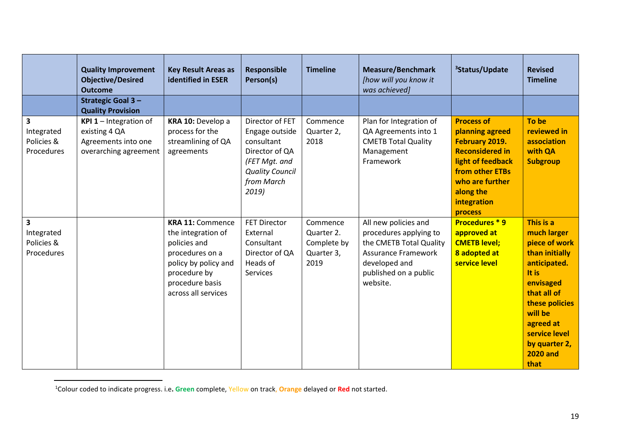|                                                                   | <b>Quality Improvement</b><br><b>Objective/Desired</b><br><b>Outcome</b>                       | <b>Key Result Areas as</b><br><b>identified in ESER</b>                                                                                                            | <b>Responsible</b><br>Person(s)                                                                                                     | <b>Timeline</b>                                             | <b>Measure/Benchmark</b><br>[how will you know it<br>was achieved]                                                                                            | <sup>3</sup> Status/Update                                                                                                                                                         | <b>Revised</b><br><b>Timeline</b>                                                                                                                                                                                       |
|-------------------------------------------------------------------|------------------------------------------------------------------------------------------------|--------------------------------------------------------------------------------------------------------------------------------------------------------------------|-------------------------------------------------------------------------------------------------------------------------------------|-------------------------------------------------------------|---------------------------------------------------------------------------------------------------------------------------------------------------------------|------------------------------------------------------------------------------------------------------------------------------------------------------------------------------------|-------------------------------------------------------------------------------------------------------------------------------------------------------------------------------------------------------------------------|
|                                                                   | <b>Strategic Goal 3-</b><br><b>Quality Provision</b>                                           |                                                                                                                                                                    |                                                                                                                                     |                                                             |                                                                                                                                                               |                                                                                                                                                                                    |                                                                                                                                                                                                                         |
| 3<br>Integrated<br>Policies &<br>Procedures                       | <b>KPI 1</b> - Integration of<br>existing 4 QA<br>Agreements into one<br>overarching agreement | KRA 10: Develop a<br>process for the<br>streamlining of QA<br>agreements                                                                                           | Director of FET<br>Engage outside<br>consultant<br>Director of QA<br>(FET Mgt. and<br><b>Quality Council</b><br>from March<br>2019) | Commence<br>Quarter 2,<br>2018                              | Plan for Integration of<br>QA Agreements into 1<br><b>CMETB Total Quality</b><br>Management<br>Framework                                                      | <b>Process of</b><br>planning agreed<br>February 2019.<br><b>Reconsidered in</b><br>light of feedback<br>from other ETBs<br>who are further<br>along the<br>integration<br>process | To be<br>reviewed in<br>association<br>with QA<br><b>Subgroup</b>                                                                                                                                                       |
| $\overline{\mathbf{3}}$<br>Integrated<br>Policies &<br>Procedures |                                                                                                | <b>KRA 11: Commence</b><br>the integration of<br>policies and<br>procedures on a<br>policy by policy and<br>procedure by<br>procedure basis<br>across all services | <b>FET Director</b><br>External<br>Consultant<br>Director of QA<br>Heads of<br><b>Services</b>                                      | Commence<br>Quarter 2.<br>Complete by<br>Quarter 3,<br>2019 | All new policies and<br>procedures applying to<br>the CMETB Total Quality<br><b>Assurance Framework</b><br>developed and<br>published on a public<br>website. | <b>Procedures *9</b><br>approved at<br><b>CMETB level;</b><br>8 adopted at<br>service level                                                                                        | This is a<br>much larger<br>piece of work<br>than initially<br>anticipated.<br>It is<br>envisaged<br>that all of<br>these policies<br>will be<br>agreed at<br>service level<br>by quarter 2,<br><b>2020 and</b><br>that |

<sup>1</sup>Colour coded to indicate progress. i.e**. Green** complete, Yellow on track, **Orange** delayed or **Red** not started.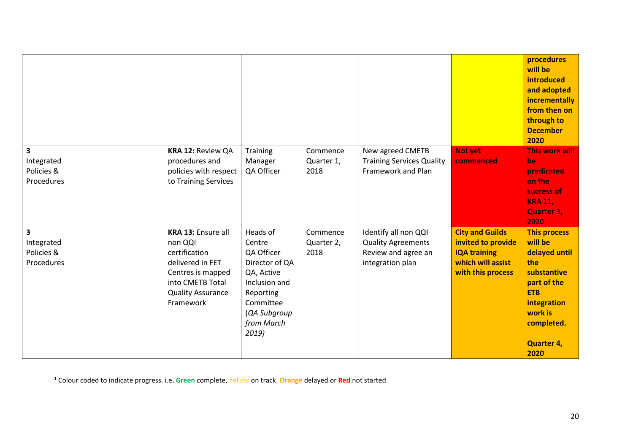|                                                                   |                                                                                                                                                      |                                                                                                                                                    |                                |                                                                                              |                                                                                                               | procedures<br>will be<br><b>introduced</b><br>and adopted<br>incrementally<br>from then on<br>through to<br><b>December</b><br>2020                                     |
|-------------------------------------------------------------------|------------------------------------------------------------------------------------------------------------------------------------------------------|----------------------------------------------------------------------------------------------------------------------------------------------------|--------------------------------|----------------------------------------------------------------------------------------------|---------------------------------------------------------------------------------------------------------------|-------------------------------------------------------------------------------------------------------------------------------------------------------------------------|
| $\overline{\mathbf{3}}$<br>Integrated<br>Policies &<br>Procedures | KRA 12: Review QA<br>procedures and<br>policies with respect<br>to Training Services                                                                 | Training<br>Manager<br>QA Officer                                                                                                                  | Commence<br>Quarter 1,<br>2018 | New agreed CMETB<br><b>Training Services Quality</b><br>Framework and Plan                   | <b>Not yet</b><br>commenced                                                                                   | <b>This work will</b><br>be<br>predicated<br>on the<br>success of<br><b>KRA 11,</b><br><b>Quarter 3,</b><br>2020                                                        |
| $\overline{\mathbf{3}}$<br>Integrated<br>Policies &<br>Procedures | KRA 13: Ensure all<br>non QQI<br>certification<br>delivered in FET<br>Centres is mapped<br>into CMETB Total<br><b>Quality Assurance</b><br>Framework | Heads of<br>Centre<br>QA Officer<br>Director of QA<br>QA, Active<br>Inclusion and<br>Reporting<br>Committee<br>(QA Subgroup<br>from March<br>2019) | Commence<br>Quarter 2,<br>2018 | Identify all non QQI<br><b>Quality Agreements</b><br>Review and agree an<br>integration plan | <b>City and Guilds</b><br>invited to provide<br><b>IQA training</b><br>which will assist<br>with this process | <b>This process</b><br>will be<br>delayed until<br>the<br>substantive<br>part of the<br><b>ETB</b><br>integration<br>work is<br>completed.<br><b>Quarter 4,</b><br>2020 |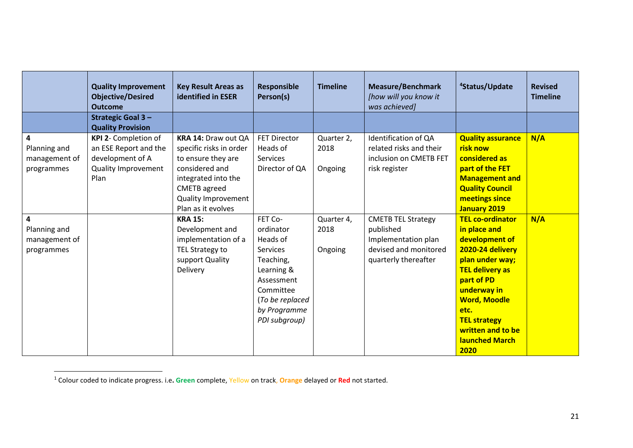|                                                  | <b>Quality Improvement</b><br><b>Objective/Desired</b><br><b>Outcome</b>                                | <b>Key Result Areas as</b><br>identified in ESER                                                                                                                                         | <b>Responsible</b><br>Person(s)                                                                                                                        | <b>Timeline</b>               | <b>Measure/Benchmark</b><br>[how will you know it<br>was achieved]                                             | <sup>4</sup> Status/Update                                                                                                                                                                                                                                   | <b>Revised</b><br><b>Timeline</b> |
|--------------------------------------------------|---------------------------------------------------------------------------------------------------------|------------------------------------------------------------------------------------------------------------------------------------------------------------------------------------------|--------------------------------------------------------------------------------------------------------------------------------------------------------|-------------------------------|----------------------------------------------------------------------------------------------------------------|--------------------------------------------------------------------------------------------------------------------------------------------------------------------------------------------------------------------------------------------------------------|-----------------------------------|
|                                                  | <b>Strategic Goal 3-</b><br><b>Quality Provision</b>                                                    |                                                                                                                                                                                          |                                                                                                                                                        |                               |                                                                                                                |                                                                                                                                                                                                                                                              |                                   |
| 4<br>Planning and<br>management of<br>programmes | KPI 2- Completion of<br>an ESE Report and the<br>development of A<br><b>Quality Improvement</b><br>Plan | KRA 14: Draw out QA<br>specific risks in order<br>to ensure they are<br>considered and<br>integrated into the<br><b>CMETB</b> agreed<br><b>Quality Improvement</b><br>Plan as it evolves | <b>FET Director</b><br>Heads of<br><b>Services</b><br>Director of QA                                                                                   | Quarter 2,<br>2018<br>Ongoing | Identification of QA<br>related risks and their<br>inclusion on CMETB FET<br>risk register                     | <b>Quality assurance</b><br>risk now<br>considered as<br>part of the FET<br><b>Management and</b><br><b>Quality Council</b><br>meetings since<br><b>January 2019</b>                                                                                         | N/A                               |
| 4<br>Planning and<br>management of<br>programmes |                                                                                                         | <b>KRA 15:</b><br>Development and<br>implementation of a<br>TEL Strategy to<br>support Quality<br>Delivery                                                                               | FET Co-<br>ordinator<br>Heads of<br>Services<br>Teaching,<br>Learning &<br>Assessment<br>Committee<br>(To be replaced<br>by Programme<br>PDI subgroup) | Quarter 4,<br>2018<br>Ongoing | <b>CMETB TEL Strategy</b><br>published<br>Implementation plan<br>devised and monitored<br>quarterly thereafter | <b>TEL co-ordinator</b><br>in place and<br>development of<br>2020-24 delivery<br>plan under way;<br><b>TEL delivery as</b><br>part of PD<br>underway in<br><b>Word, Moodle</b><br>etc.<br><b>TEL strategy</b><br>written and to be<br>launched March<br>2020 | N/A                               |

<sup>1</sup> Colour coded to indicate progress. i.e**. Green** complete, Yellow on track, **Orange** delayed or **Red** not started.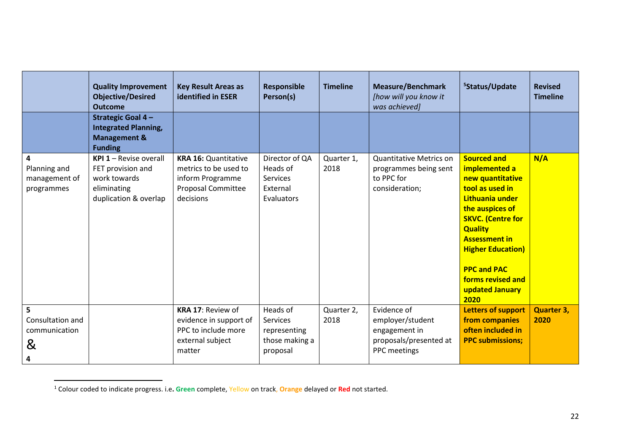|                                                  | <b>Quality Improvement</b><br><b>Objective/Desired</b><br><b>Outcome</b>                                   | <b>Key Result Areas as</b><br>identified in ESER                                                            | Responsible<br>Person(s)                                                  | <b>Timeline</b>    | <b>Measure/Benchmark</b><br>[how will you know it<br>was achieved]                         | <sup>5</sup> Status/Update                                                                                                                                                                                                                                                               | <b>Revised</b><br><b>Timeline</b> |
|--------------------------------------------------|------------------------------------------------------------------------------------------------------------|-------------------------------------------------------------------------------------------------------------|---------------------------------------------------------------------------|--------------------|--------------------------------------------------------------------------------------------|------------------------------------------------------------------------------------------------------------------------------------------------------------------------------------------------------------------------------------------------------------------------------------------|-----------------------------------|
|                                                  | <b>Strategic Goal 4-</b><br><b>Integrated Planning,</b><br><b>Management &amp;</b><br><b>Funding</b>       |                                                                                                             |                                                                           |                    |                                                                                            |                                                                                                                                                                                                                                                                                          |                                   |
| 4<br>Planning and<br>management of<br>programmes | <b>KPI 1</b> - Revise overall<br>FET provision and<br>work towards<br>eliminating<br>duplication & overlap | <b>KRA 16: Quantitative</b><br>metrics to be used to<br>inform Programme<br>Proposal Committee<br>decisions | Director of QA<br>Heads of<br><b>Services</b><br>External<br>Evaluators   | Quarter 1,<br>2018 | <b>Quantitative Metrics on</b><br>programmes being sent<br>to PPC for<br>consideration;    | <b>Sourced and</b><br>implemented a<br>new quantitative<br>tool as used in<br>Lithuania under<br>the auspices of<br><b>SKVC. (Centre for</b><br><b>Quality</b><br><b>Assessment in</b><br><b>Higher Education)</b><br><b>PPC and PAC</b><br>forms revised and<br>updated January<br>2020 | N/A                               |
| 5<br>Consultation and<br>communication<br>&<br>4 |                                                                                                            | <b>KRA 17: Review of</b><br>evidence in support of<br>PPC to include more<br>external subject<br>matter     | Heads of<br><b>Services</b><br>representing<br>those making a<br>proposal | Quarter 2,<br>2018 | Evidence of<br>employer/student<br>engagement in<br>proposals/presented at<br>PPC meetings | <b>Letters of support</b><br>from companies<br>often included in<br><b>PPC submissions;</b>                                                                                                                                                                                              | <b>Quarter 3,</b><br>2020         |

<sup>1</sup> Colour coded to indicate progress. i.e**. Green** complete, Yellow on track, **Orange** delayed or **Red** not started.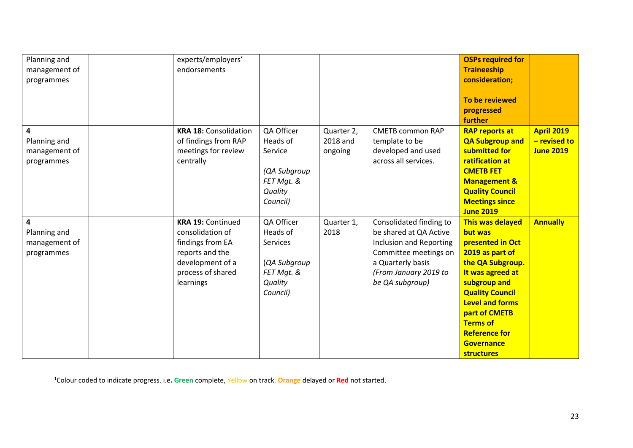| Planning and<br>management of<br>programmes      | experts/employers'<br>endorsements                                                                                                        |                                                                                                |                                   |                                                                                                                                                                        | <b>OSPs required for</b><br><b>Traineeship</b><br>consideration;<br>To be reviewed<br>progressed<br>further                                                                                                                                                                                 |                                                       |
|--------------------------------------------------|-------------------------------------------------------------------------------------------------------------------------------------------|------------------------------------------------------------------------------------------------|-----------------------------------|------------------------------------------------------------------------------------------------------------------------------------------------------------------------|---------------------------------------------------------------------------------------------------------------------------------------------------------------------------------------------------------------------------------------------------------------------------------------------|-------------------------------------------------------|
| 4<br>Planning and<br>management of<br>programmes | <b>KRA 18: Consolidation</b><br>of findings from RAP<br>meetings for review<br>centrally                                                  | QA Officer<br>Heads of<br>Service<br>(QA Subgroup<br>FET Mgt. &<br>Quality<br>Council)         | Quarter 2,<br>2018 and<br>ongoing | <b>CMETB common RAP</b><br>template to be<br>developed and used<br>across all services.                                                                                | <b>RAP reports at</b><br><b>QA Subgroup and</b><br>submitted for<br>ratification at<br><b>CMETB FET</b><br><b>Management &amp;</b><br><b>Quality Council</b><br><b>Meetings since</b><br><b>June 2019</b>                                                                                   | <b>April 2019</b><br>- revised to<br><b>June 2019</b> |
| 4<br>Planning and<br>management of<br>programmes | <b>KRA 19: Continued</b><br>consolidation of<br>findings from EA<br>reports and the<br>development of a<br>process of shared<br>learnings | QA Officer<br>Heads of<br><b>Services</b><br>(QA Subgroup<br>FET Mgt. &<br>Quality<br>Council) | Quarter 1,<br>2018                | Consolidated finding to<br>be shared at QA Active<br>Inclusion and Reporting<br>Committee meetings on<br>a Quarterly basis<br>(From January 2019 to<br>be QA subgroup) | <b>This was delayed</b><br>but was<br>presented in Oct<br>2019 as part of<br>the QA Subgroup.<br>It was agreed at<br>subgroup and<br><b>Quality Council</b><br><b>Level and forms</b><br>part of CMETB<br><b>Terms of</b><br><b>Reference for</b><br><b>Governance</b><br><b>structures</b> | <b>Annually</b>                                       |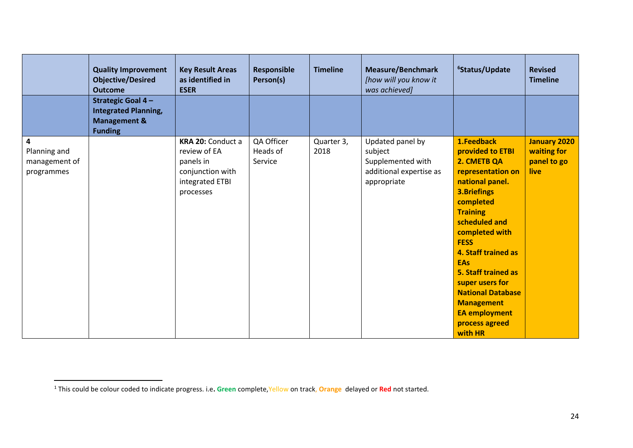|                                                  | <b>Quality Improvement</b><br><b>Objective/Desired</b><br><b>Outcome</b>                             | <b>Key Result Areas</b><br>as identified in<br><b>ESER</b>                                                | <b>Responsible</b><br>Person(s)   | <b>Timeline</b>    | <b>Measure/Benchmark</b><br>[how will you know it<br>was achieved]                         | <sup>6</sup> Status/Update                                                                                                                                                                                                                                                                                                                                                         | <b>Revised</b><br><b>Timeline</b>                         |
|--------------------------------------------------|------------------------------------------------------------------------------------------------------|-----------------------------------------------------------------------------------------------------------|-----------------------------------|--------------------|--------------------------------------------------------------------------------------------|------------------------------------------------------------------------------------------------------------------------------------------------------------------------------------------------------------------------------------------------------------------------------------------------------------------------------------------------------------------------------------|-----------------------------------------------------------|
|                                                  | <b>Strategic Goal 4-</b><br><b>Integrated Planning,</b><br><b>Management &amp;</b><br><b>Funding</b> |                                                                                                           |                                   |                    |                                                                                            |                                                                                                                                                                                                                                                                                                                                                                                    |                                                           |
| 4<br>Planning and<br>management of<br>programmes |                                                                                                      | <b>KRA 20: Conduct a</b><br>review of EA<br>panels in<br>conjunction with<br>integrated ETBI<br>processes | QA Officer<br>Heads of<br>Service | Quarter 3,<br>2018 | Updated panel by<br>subject<br>Supplemented with<br>additional expertise as<br>appropriate | 1.Feedback<br>provided to ETBI<br>2. CMETB QA<br>representation on<br>national panel.<br><b>3.Briefings</b><br>completed<br><b>Training</b><br>scheduled and<br>completed with<br><b>FESS</b><br>4. Staff trained as<br><b>EAs</b><br>5. Staff trained as<br>super users for<br><b>National Database</b><br><b>Management</b><br><b>EA employment</b><br>process agreed<br>with HR | <b>January 2020</b><br>waiting for<br>panel to go<br>live |

<sup>1</sup> This could be colour coded to indicate progress. i.e**. Green** complete,Yellow on track, **Orange** delayed or **Red** not started.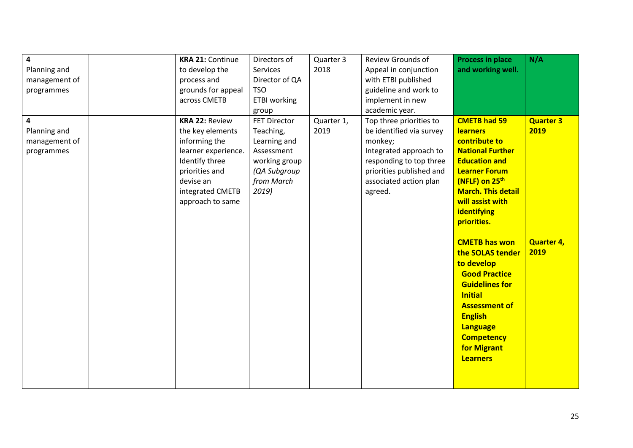| 4<br>Planning and<br>management of<br>programmes | <b>KRA 21: Continue</b><br>to develop the<br>process and<br>grounds for appeal<br>across CMETB                                                                             | Directors of<br>Services<br>Director of QA<br><b>TSO</b><br><b>ETBI</b> working<br>group                               | Quarter 3<br>2018  | Review Grounds of<br>Appeal in conjunction<br>with ETBI published<br>guideline and work to<br>implement in new<br>academic year.                                                     | <b>Process in place</b><br>and working well.                                                                                                                                                                                                                                                                                                                                                                                                                                                     | N/A                                                   |
|--------------------------------------------------|----------------------------------------------------------------------------------------------------------------------------------------------------------------------------|------------------------------------------------------------------------------------------------------------------------|--------------------|--------------------------------------------------------------------------------------------------------------------------------------------------------------------------------------|--------------------------------------------------------------------------------------------------------------------------------------------------------------------------------------------------------------------------------------------------------------------------------------------------------------------------------------------------------------------------------------------------------------------------------------------------------------------------------------------------|-------------------------------------------------------|
| 4<br>Planning and<br>management of<br>programmes | <b>KRA 22: Review</b><br>the key elements<br>informing the<br>learner experience.<br>Identify three<br>priorities and<br>devise an<br>integrated CMETB<br>approach to same | <b>FET Director</b><br>Teaching,<br>Learning and<br>Assessment<br>working group<br>(QA Subgroup<br>from March<br>2019) | Quarter 1,<br>2019 | Top three priorities to<br>be identified via survey<br>monkey;<br>Integrated approach to<br>responding to top three<br>priorities published and<br>associated action plan<br>agreed. | <b>CMETB had 59</b><br><b>learners</b><br>contribute to<br><b>National Further</b><br><b>Education and</b><br><b>Learner Forum</b><br>(NFLF) on 25 <sup>th</sup><br><b>March. This detail</b><br>will assist with<br>identifying<br>priorities.<br><b>CMETB has won</b><br>the SOLAS tender<br>to develop<br><b>Good Practice</b><br><b>Guidelines for</b><br><b>Initial</b><br><b>Assessment of</b><br><b>English</b><br><b>Language</b><br><b>Competency</b><br>for Migrant<br><b>Learners</b> | <b>Quarter 3</b><br>2019<br><b>Quarter 4,</b><br>2019 |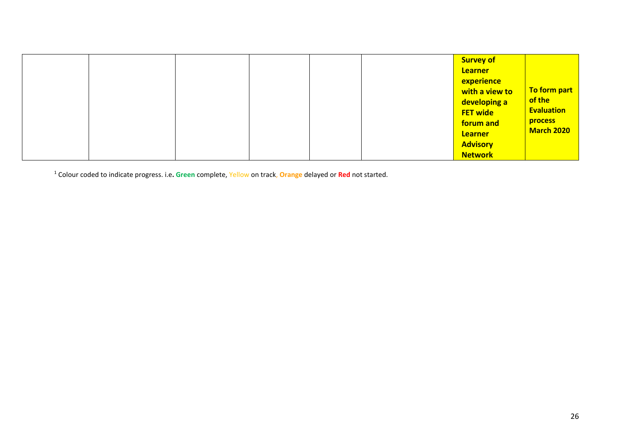|  |  |  |  |  |  | <b>Survey of</b><br><b>Learner</b><br>experience<br>with a view to<br>developing a<br><b>FET wide</b><br>forum and<br><b>Learner</b><br><b>Advisory</b><br><b>Network</b> | To form part<br>of the<br><b>Evaluation</b><br><b>process</b><br><b>March 2020</b> |
|--|--|--|--|--|--|---------------------------------------------------------------------------------------------------------------------------------------------------------------------------|------------------------------------------------------------------------------------|
|--|--|--|--|--|--|---------------------------------------------------------------------------------------------------------------------------------------------------------------------------|------------------------------------------------------------------------------------|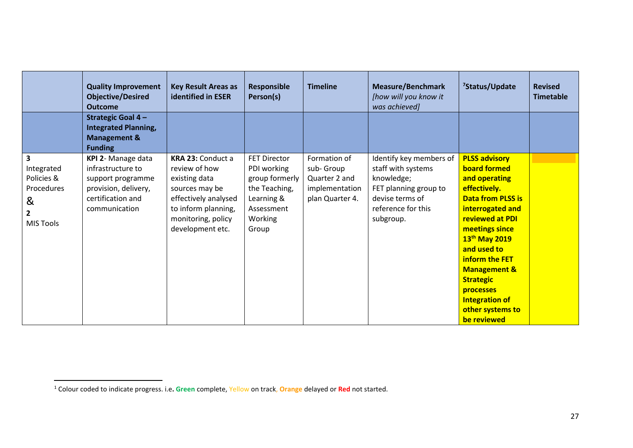|                                                                     | <b>Quality Improvement</b><br><b>Objective/Desired</b><br><b>Outcome</b>                             | <b>Key Result Areas as</b><br><b>identified in ESER</b>                                                                  | <b>Responsible</b><br>Person(s)                                                        | <b>Timeline</b>                                    | <b>Measure/Benchmark</b><br>[how will you know it<br>was achieved]                        | <sup>7</sup> Status/Update                                                                                                                                                                                                                                                                                      | <b>Revised</b><br><b>Timetable</b> |
|---------------------------------------------------------------------|------------------------------------------------------------------------------------------------------|--------------------------------------------------------------------------------------------------------------------------|----------------------------------------------------------------------------------------|----------------------------------------------------|-------------------------------------------------------------------------------------------|-----------------------------------------------------------------------------------------------------------------------------------------------------------------------------------------------------------------------------------------------------------------------------------------------------------------|------------------------------------|
|                                                                     | <b>Strategic Goal 4-</b><br><b>Integrated Planning,</b><br><b>Management &amp;</b><br><b>Funding</b> |                                                                                                                          |                                                                                        |                                                    |                                                                                           |                                                                                                                                                                                                                                                                                                                 |                                    |
| $\overline{\mathbf{3}}$<br>Integrated                               | KPI 2- Manage data<br>infrastructure to                                                              | <b>KRA 23: Conduct a</b><br>review of how                                                                                | <b>FET Director</b><br>PDI working                                                     | Formation of<br>sub-Group                          | Identify key members of<br>staff with systems                                             | <b>PLSS advisory</b><br><b>board formed</b>                                                                                                                                                                                                                                                                     |                                    |
| Policies &<br>Procedures<br>&<br>$\overline{2}$<br><b>MIS Tools</b> | support programme<br>provision, delivery,<br>certification and<br>communication                      | existing data<br>sources may be<br>effectively analysed<br>to inform planning,<br>monitoring, policy<br>development etc. | group formerly<br>the Teaching,<br>Learning &<br>Assessment<br><b>Working</b><br>Group | Quarter 2 and<br>implementation<br>plan Quarter 4. | knowledge;<br>FET planning group to<br>devise terms of<br>reference for this<br>subgroup. | and operating<br>effectively.<br><b>Data from PLSS is</b><br>interrogated and<br><b>reviewed at PDI</b><br>meetings since<br>13 <sup>th</sup> May 2019<br>and used to<br>inform the FET<br><b>Management &amp;</b><br><b>Strategic</b><br>processes<br><b>Integration of</b><br>other systems to<br>be reviewed |                                    |

<sup>1</sup> Colour coded to indicate progress. i.e**. Green** complete, Yellow on track, **Orange** delayed or **Red** not started.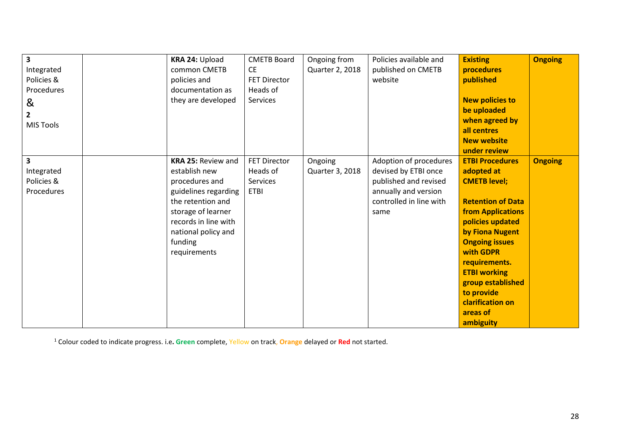| $\overline{\mathbf{3}}$ | KRA 24: Upload            | <b>CMETB Board</b>  | Ongoing from    | Policies available and  | <b>Existing</b>          | <b>Ongoing</b> |
|-------------------------|---------------------------|---------------------|-----------------|-------------------------|--------------------------|----------------|
| Integrated              | common CMETB              | <b>CE</b>           | Quarter 2, 2018 | published on CMETB      | procedures               |                |
| Policies &              | policies and              | <b>FET Director</b> |                 | website                 | published                |                |
| Procedures              | documentation as          | Heads of            |                 |                         |                          |                |
| &                       | they are developed        | Services            |                 |                         | <b>New policies to</b>   |                |
| $\overline{2}$          |                           |                     |                 |                         | be uploaded              |                |
| <b>MIS Tools</b>        |                           |                     |                 |                         | when agreed by           |                |
|                         |                           |                     |                 |                         | all centres              |                |
|                         |                           |                     |                 |                         | <b>New website</b>       |                |
|                         |                           |                     |                 |                         | under review             |                |
| 3                       | <b>KRA 25: Review and</b> | <b>FET Director</b> | Ongoing         | Adoption of procedures  | <b>ETBI Procedures</b>   | <b>Ongoing</b> |
| Integrated              | establish new             | Heads of            | Quarter 3, 2018 | devised by ETBI once    | adopted at               |                |
| Policies &              | procedures and            | <b>Services</b>     |                 | published and revised   | <b>CMETB level;</b>      |                |
| Procedures              | guidelines regarding      | <b>ETBI</b>         |                 | annually and version    |                          |                |
|                         | the retention and         |                     |                 | controlled in line with | <b>Retention of Data</b> |                |
|                         | storage of learner        |                     |                 | same                    | <b>from Applications</b> |                |
|                         | records in line with      |                     |                 |                         | policies updated         |                |
|                         | national policy and       |                     |                 |                         | by Fiona Nugent          |                |
|                         | funding                   |                     |                 |                         | <b>Ongoing issues</b>    |                |
|                         | requirements              |                     |                 |                         | with GDPR                |                |
|                         |                           |                     |                 |                         | requirements.            |                |
|                         |                           |                     |                 |                         | <b>ETBI working</b>      |                |
|                         |                           |                     |                 |                         | group established        |                |
|                         |                           |                     |                 |                         | to provide               |                |
|                         |                           |                     |                 |                         | clarification on         |                |
|                         |                           |                     |                 |                         | areas of                 |                |
|                         |                           |                     |                 |                         | ambiguity                |                |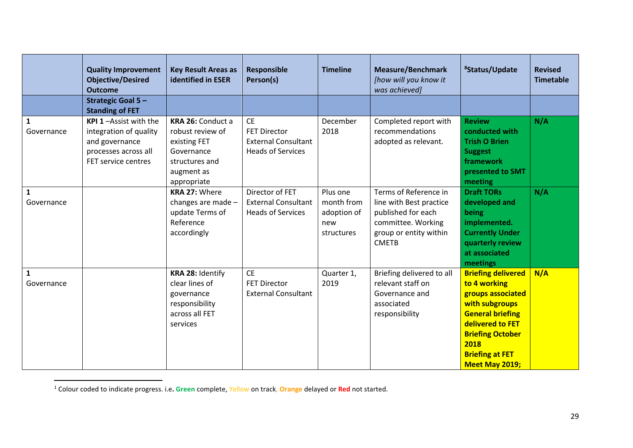|                                                          | <b>Quality Improvement</b><br><b>Objective/Desired</b><br><b>Outcome</b>                                         | <b>Key Result Areas as</b><br><b>identified in ESER</b>                                                                                                          | <b>Responsible</b><br>Person(s)                                                                                                             | <b>Timeline</b>                            | <b>Measure/Benchmark</b><br>[how will you know it<br>was achieved]                                                   | <sup>8</sup> Status/Update                                                                                                                                                                                     | <b>Revised</b><br><b>Timetable</b> |
|----------------------------------------------------------|------------------------------------------------------------------------------------------------------------------|------------------------------------------------------------------------------------------------------------------------------------------------------------------|---------------------------------------------------------------------------------------------------------------------------------------------|--------------------------------------------|----------------------------------------------------------------------------------------------------------------------|----------------------------------------------------------------------------------------------------------------------------------------------------------------------------------------------------------------|------------------------------------|
|                                                          | <b>Strategic Goal 5-</b><br><b>Standing of FET</b>                                                               |                                                                                                                                                                  |                                                                                                                                             |                                            |                                                                                                                      |                                                                                                                                                                                                                |                                    |
| $\mathbf{1}$<br>Governance<br>$\mathbf{1}$<br>Governance | KPI 1-Assist with the<br>integration of quality<br>and governance<br>processes across all<br>FET service centres | KRA 26: Conduct a<br>robust review of<br>existing FET<br>Governance<br>structures and<br>augment as<br>appropriate<br><b>KRA 27: Where</b><br>changes are made - | <b>CE</b><br><b>FET Director</b><br><b>External Consultant</b><br><b>Heads of Services</b><br>Director of FET<br><b>External Consultant</b> | December<br>2018<br>Plus one<br>month from | Completed report with<br>recommendations<br>adopted as relevant.<br>Terms of Reference in<br>line with Best practice | <b>Review</b><br>conducted with<br><b>Trish O Brien</b><br><b>Suggest</b><br>framework<br>presented to SMT<br>meeting<br><b>Draft TORs</b><br>developed and                                                    | N/A<br>N/A                         |
|                                                          |                                                                                                                  | update Terms of<br>Reference<br>accordingly                                                                                                                      | <b>Heads of Services</b>                                                                                                                    | adoption of<br>new<br>structures           | published for each<br>committee. Working<br>group or entity within<br><b>CMETB</b>                                   | being<br>implemented.<br><b>Currently Under</b><br>quarterly review<br>at associated<br>meetings                                                                                                               |                                    |
| $\mathbf{1}$<br>Governance                               |                                                                                                                  | KRA 28: Identify<br>clear lines of<br>governance<br>responsibility<br>across all FET<br>services                                                                 | <b>CE</b><br><b>FET Director</b><br><b>External Consultant</b>                                                                              | Quarter 1,<br>2019                         | Briefing delivered to all<br>relevant staff on<br>Governance and<br>associated<br>responsibility                     | <b>Briefing delivered</b><br>to 4 working<br>groups associated<br>with subgroups<br><b>General briefing</b><br>delivered to FET<br><b>Briefing October</b><br>2018<br><b>Briefing at FET</b><br>Meet May 2019; | N/A                                |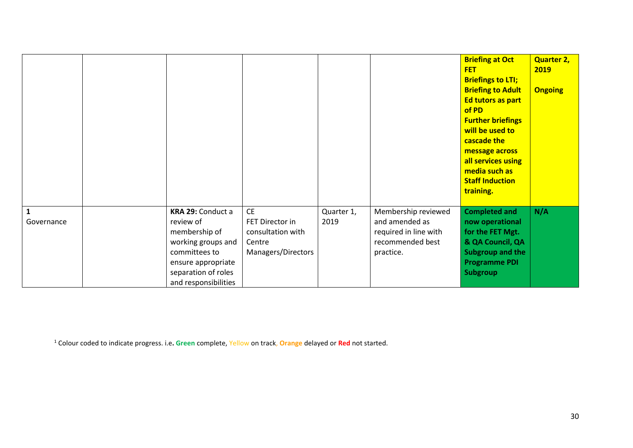|                 |                                                                                                                                                             |                                                                                   |                    |                                                                                                 | <b>Briefing at Oct</b><br><b>FET</b><br><b>Briefings to LTI;</b><br><b>Briefing to Adult</b><br>Ed tutors as part<br>of PD<br><b>Further briefings</b><br>will be used to<br>cascade the<br>message across<br>all services using<br>media such as<br><b>Staff Induction</b><br>training. | <b>Quarter 2,</b><br>2019<br><b>Ongoing</b> |
|-----------------|-------------------------------------------------------------------------------------------------------------------------------------------------------------|-----------------------------------------------------------------------------------|--------------------|-------------------------------------------------------------------------------------------------|------------------------------------------------------------------------------------------------------------------------------------------------------------------------------------------------------------------------------------------------------------------------------------------|---------------------------------------------|
| 1<br>Governance | KRA 29: Conduct a<br>review of<br>membership of<br>working groups and<br>committees to<br>ensure appropriate<br>separation of roles<br>and responsibilities | <b>CE</b><br>FET Director in<br>consultation with<br>Centre<br>Managers/Directors | Quarter 1,<br>2019 | Membership reviewed<br>and amended as<br>required in line with<br>recommended best<br>practice. | <b>Completed and</b><br>now operational<br>for the FET Mgt.<br>& QA Council, QA<br>Subgroup and the<br><b>Programme PDI</b><br>Subgroup                                                                                                                                                  | N/A                                         |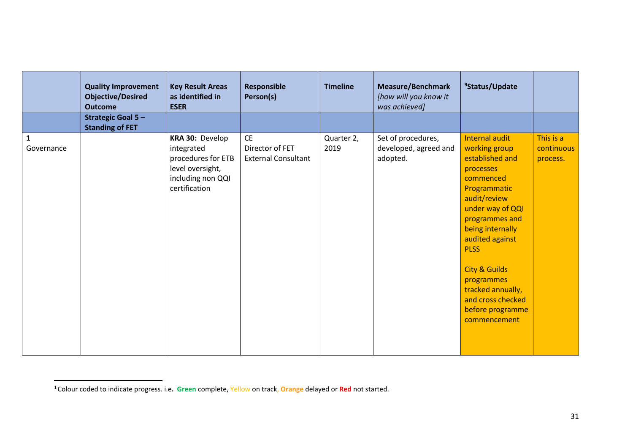|                           | <b>Quality Improvement</b><br><b>Objective/Desired</b><br><b>Outcome</b> | <b>Key Result Areas</b><br>as identified in<br><b>ESER</b>                                                    | <b>Responsible</b><br>Person(s)                            | <b>Timeline</b>    | <b>Measure/Benchmark</b><br>[how will you know it<br>was achieved] | <sup>9</sup> Status/Update                                                                                                                                                                                                                                                                                                       |                                     |
|---------------------------|--------------------------------------------------------------------------|---------------------------------------------------------------------------------------------------------------|------------------------------------------------------------|--------------------|--------------------------------------------------------------------|----------------------------------------------------------------------------------------------------------------------------------------------------------------------------------------------------------------------------------------------------------------------------------------------------------------------------------|-------------------------------------|
|                           | <b>Strategic Goal 5-</b><br><b>Standing of FET</b>                       |                                                                                                               |                                                            |                    |                                                                    |                                                                                                                                                                                                                                                                                                                                  |                                     |
| $\mathbf 1$<br>Governance |                                                                          | KRA 30: Develop<br>integrated<br>procedures for ETB<br>level oversight,<br>including non QQI<br>certification | <b>CE</b><br>Director of FET<br><b>External Consultant</b> | Quarter 2,<br>2019 | Set of procedures,<br>developed, agreed and<br>adopted.            | Internal audit<br>working group<br>established and<br>processes<br>commenced<br>Programmatic<br>audit/review<br>under way of QQI<br>programmes and<br>being internally<br>audited against<br><b>PLSS</b><br><b>City &amp; Guilds</b><br>programmes<br>tracked annually,<br>and cross checked<br>before programme<br>commencement | This is a<br>continuous<br>process. |

<sup>1</sup>Colour coded to indicate progress. i.e**. Green** complete, Yellow on track, **Orange** delayed or **Red** not started.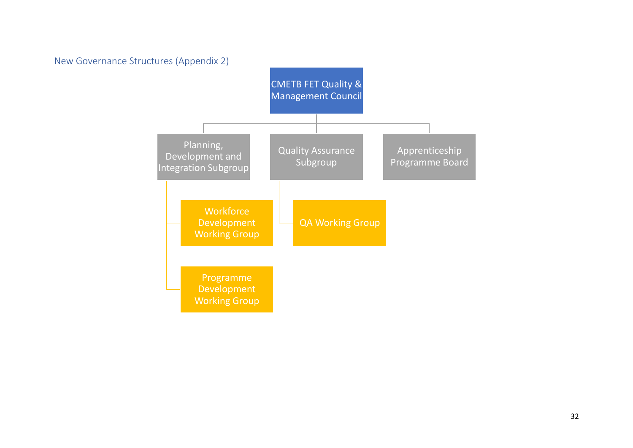<span id="page-31-0"></span>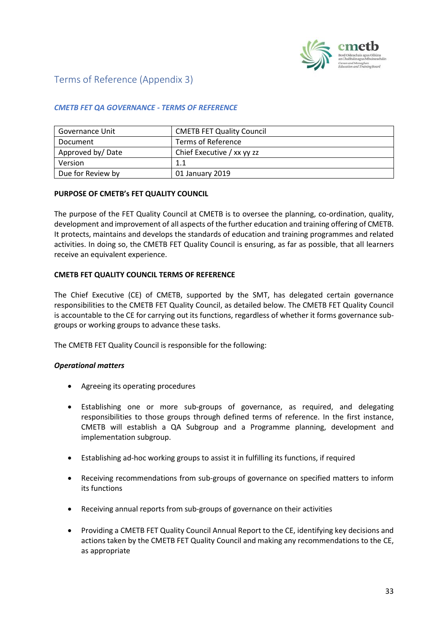

# <span id="page-32-0"></span>Terms of Reference (Appendix 3)

## *CMETB FET QA GOVERNANCE - TERMS OF REFERENCE*

| Governance Unit   | <b>CMETB FET Quality Council</b> |
|-------------------|----------------------------------|
| Document          | Terms of Reference               |
| Approved by/Date  | Chief Executive / xx yy zz       |
| Version           | 1.1                              |
| Due for Review by | 01 January 2019                  |

## **PURPOSE OF CMETB's FET QUALITY COUNCIL**

The purpose of the FET Quality Council at CMETB is to oversee the planning, co-ordination, quality, development and improvement of all aspects of the further education and training offering of CMETB. It protects, maintains and develops the standards of education and training programmes and related activities. In doing so, the CMETB FET Quality Council is ensuring, as far as possible, that all learners receive an equivalent experience.

## **CMETB FET QUALITY COUNCIL TERMS OF REFERENCE**

The Chief Executive (CE) of CMETB, supported by the SMT, has delegated certain governance responsibilities to the CMETB FET Quality Council, as detailed below. The CMETB FET Quality Council is accountable to the CE for carrying out its functions, regardless of whether it forms governance subgroups or working groups to advance these tasks.

The CMETB FET Quality Council is responsible for the following:

#### *Operational matters*

- Agreeing its operating procedures
- Establishing one or more sub-groups of governance, as required, and delegating responsibilities to those groups through defined terms of reference. In the first instance, CMETB will establish a QA Subgroup and a Programme planning, development and implementation subgroup.
- Establishing ad-hoc working groups to assist it in fulfilling its functions, if required
- Receiving recommendations from sub-groups of governance on specified matters to inform its functions
- Receiving annual reports from sub-groups of governance on their activities
- Providing a CMETB FET Quality Council Annual Report to the CE, identifying key decisions and actions taken by the CMETB FET Quality Council and making any recommendations to the CE, as appropriate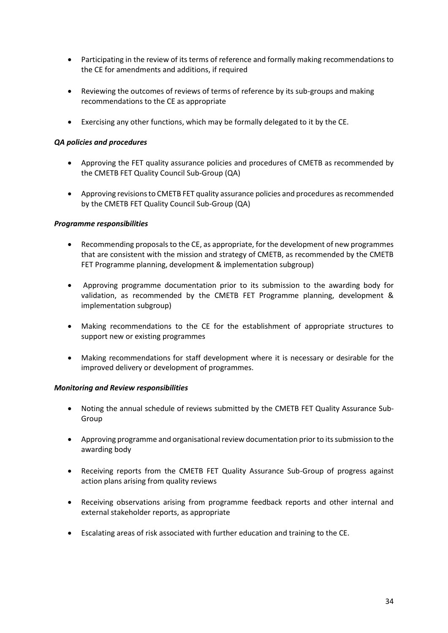- Participating in the review of its terms of reference and formally making recommendations to the CE for amendments and additions, if required
- Reviewing the outcomes of reviews of terms of reference by its sub-groups and making recommendations to the CE as appropriate
- Exercising any other functions, which may be formally delegated to it by the CE.

#### *QA policies and procedures*

- Approving the FET quality assurance policies and procedures of CMETB as recommended by the CMETB FET Quality Council Sub-Group (QA)
- Approving revisions to CMETB FET quality assurance policies and procedures as recommended by the CMETB FET Quality Council Sub-Group (QA)

#### *Programme responsibilities*

- Recommending proposals to the CE, as appropriate, for the development of new programmes that are consistent with the mission and strategy of CMETB, as recommended by the CMETB FET Programme planning, development & implementation subgroup)
- Approving programme documentation prior to its submission to the awarding body for validation, as recommended by the CMETB FET Programme planning, development & implementation subgroup)
- Making recommendations to the CE for the establishment of appropriate structures to support new or existing programmes
- Making recommendations for staff development where it is necessary or desirable for the improved delivery or development of programmes.

#### *Monitoring and Review responsibilities*

- Noting the annual schedule of reviews submitted by the CMETB FET Quality Assurance Sub-Group
- Approving programme and organisational review documentation prior to its submission to the awarding body
- Receiving reports from the CMETB FET Quality Assurance Sub-Group of progress against action plans arising from quality reviews
- Receiving observations arising from programme feedback reports and other internal and external stakeholder reports, as appropriate
- Escalating areas of risk associated with further education and training to the CE.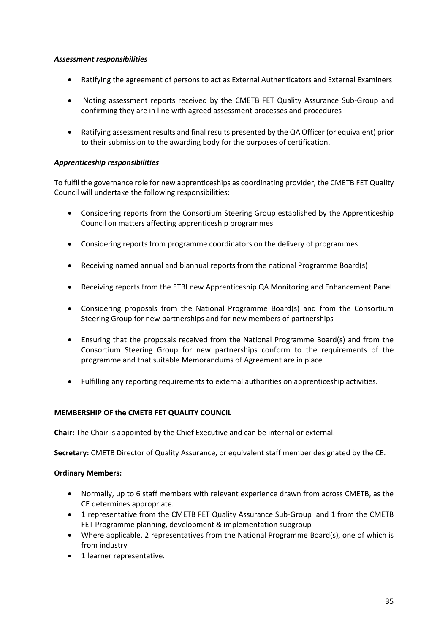## *Assessment responsibilities*

- Ratifying the agreement of persons to act as External Authenticators and External Examiners
- Noting assessment reports received by the CMETB FET Quality Assurance Sub-Group and confirming they are in line with agreed assessment processes and procedures
- Ratifying assessment results and final results presented by the QA Officer (or equivalent) prior to their submission to the awarding body for the purposes of certification.

## *Apprenticeship responsibilities*

To fulfil the governance role for new apprenticeships as coordinating provider, the CMETB FET Quality Council will undertake the following responsibilities:

- Considering reports from the Consortium Steering Group established by the Apprenticeship Council on matters affecting apprenticeship programmes
- Considering reports from programme coordinators on the delivery of programmes
- Receiving named annual and biannual reports from the national Programme Board(s)
- Receiving reports from the ETBI new Apprenticeship QA Monitoring and Enhancement Panel
- Considering proposals from the National Programme Board(s) and from the Consortium Steering Group for new partnerships and for new members of partnerships
- Ensuring that the proposals received from the National Programme Board(s) and from the Consortium Steering Group for new partnerships conform to the requirements of the programme and that suitable Memorandums of Agreement are in place
- Fulfilling any reporting requirements to external authorities on apprenticeship activities.

## **MEMBERSHIP OF the CMETB FET QUALITY COUNCIL**

**Chair:** The Chair is appointed by the Chief Executive and can be internal or external.

**Secretary:** CMETB Director of Quality Assurance, or equivalent staff member designated by the CE.

#### **Ordinary Members:**

- Normally, up to 6 staff members with relevant experience drawn from across CMETB, as the CE determines appropriate.
- 1 representative from the CMETB FET Quality Assurance Sub-Group and 1 from the CMETB FET Programme planning, development & implementation subgroup
- Where applicable, 2 representatives from the National Programme Board(s), one of which is from industry
- 1 learner representative.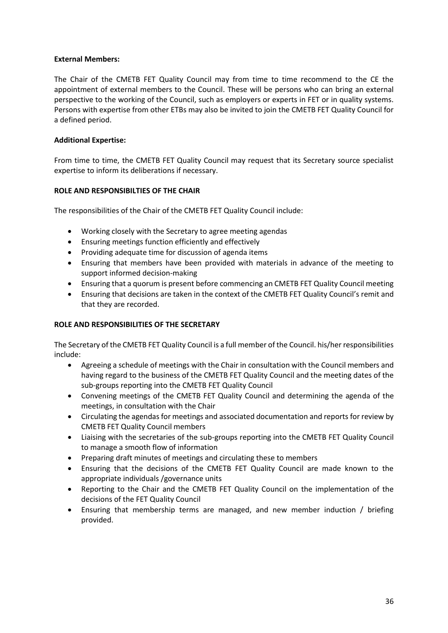## **External Members:**

The Chair of the CMETB FET Quality Council may from time to time recommend to the CE the appointment of external members to the Council. These will be persons who can bring an external perspective to the working of the Council, such as employers or experts in FET or in quality systems. Persons with expertise from other ETBs may also be invited to join the CMETB FET Quality Council for a defined period.

## **Additional Expertise:**

From time to time, the CMETB FET Quality Council may request that its Secretary source specialist expertise to inform its deliberations if necessary.

## **ROLE AND RESPONSIBILTIES OF THE CHAIR**

The responsibilities of the Chair of the CMETB FET Quality Council include:

- Working closely with the Secretary to agree meeting agendas
- Ensuring meetings function efficiently and effectively
- Providing adequate time for discussion of agenda items
- Ensuring that members have been provided with materials in advance of the meeting to support informed decision-making
- Ensuring that a quorum is present before commencing an CMETB FET Quality Council meeting
- Ensuring that decisions are taken in the context of the CMETB FET Quality Council's remit and that they are recorded.

## **ROLE AND RESPONSIBILITIES OF THE SECRETARY**

The Secretary of the CMETB FET Quality Council is a full member of the Council. his/her responsibilities include:

- Agreeing a schedule of meetings with the Chair in consultation with the Council members and having regard to the business of the CMETB FET Quality Council and the meeting dates of the sub-groups reporting into the CMETB FET Quality Council
- Convening meetings of the CMETB FET Quality Council and determining the agenda of the meetings, in consultation with the Chair
- Circulating the agendas for meetings and associated documentation and reports for review by CMETB FET Quality Council members
- Liaising with the secretaries of the sub-groups reporting into the CMETB FET Quality Council to manage a smooth flow of information
- Preparing draft minutes of meetings and circulating these to members
- Ensuring that the decisions of the CMETB FET Quality Council are made known to the appropriate individuals /governance units
- Reporting to the Chair and the CMETB FET Quality Council on the implementation of the decisions of the FET Quality Council
- Ensuring that membership terms are managed, and new member induction / briefing provided.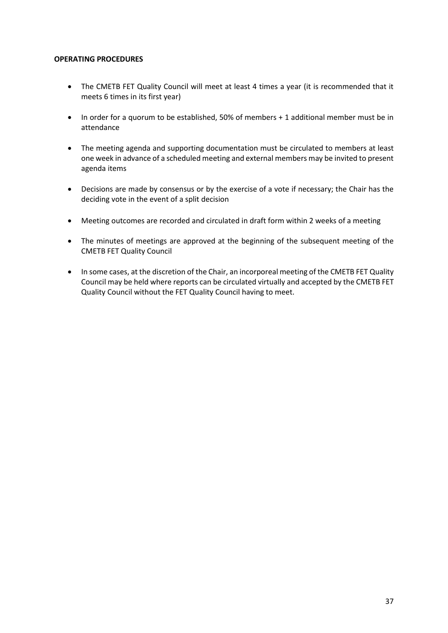#### **OPERATING PROCEDURES**

- The CMETB FET Quality Council will meet at least 4 times a year (it is recommended that it meets 6 times in its first year)
- In order for a quorum to be established, 50% of members + 1 additional member must be in attendance
- The meeting agenda and supporting documentation must be circulated to members at least one week in advance of a scheduled meeting and external members may be invited to present agenda items
- Decisions are made by consensus or by the exercise of a vote if necessary; the Chair has the deciding vote in the event of a split decision
- Meeting outcomes are recorded and circulated in draft form within 2 weeks of a meeting
- The minutes of meetings are approved at the beginning of the subsequent meeting of the CMETB FET Quality Council
- In some cases, at the discretion of the Chair, an incorporeal meeting of the CMETB FET Quality Council may be held where reports can be circulated virtually and accepted by the CMETB FET Quality Council without the FET Quality Council having to meet.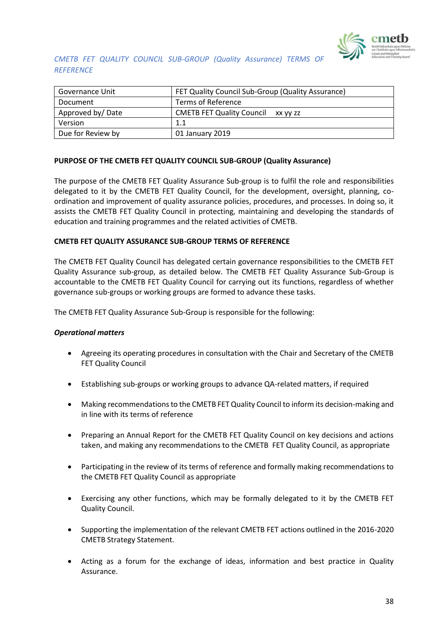

## *CMETB FET QUALITY COUNCIL SUB-GROUP (Quality Assurance) TERMS OF REFERENCE*

| Governance Unit   | FET Quality Council Sub-Group (Quality Assurance) |
|-------------------|---------------------------------------------------|
| Document          | Terms of Reference                                |
| Approved by/Date  | <b>CMETB FET Quality Council</b><br>XX VV ZZ      |
| Version           | 1.1                                               |
| Due for Review by | 01 January 2019                                   |

## **PURPOSE OF THE CMETB FET QUALITY COUNCIL SUB-GROUP (Quality Assurance)**

The purpose of the CMETB FET Quality Assurance Sub-group is to fulfil the role and responsibilities delegated to it by the CMETB FET Quality Council, for the development, oversight, planning, coordination and improvement of quality assurance policies, procedures, and processes. In doing so, it assists the CMETB FET Quality Council in protecting, maintaining and developing the standards of education and training programmes and the related activities of CMETB.

#### **CMETB FET QUALITY ASSURANCE SUB-GROUP TERMS OF REFERENCE**

The CMETB FET Quality Council has delegated certain governance responsibilities to the CMETB FET Quality Assurance sub-group, as detailed below. The CMETB FET Quality Assurance Sub-Group is accountable to the CMETB FET Quality Council for carrying out its functions, regardless of whether governance sub-groups or working groups are formed to advance these tasks.

The CMETB FET Quality Assurance Sub-Group is responsible for the following:

#### *Operational matters*

- Agreeing its operating procedures in consultation with the Chair and Secretary of the CMETB FET Quality Council
- Establishing sub-groups or working groups to advance QA-related matters, if required
- Making recommendations to the CMETB FET Quality Council to inform its decision-making and in line with its terms of reference
- Preparing an Annual Report for the CMETB FET Quality Council on key decisions and actions taken, and making any recommendations to the CMETB FET Quality Council, as appropriate
- Participating in the review of its terms of reference and formally making recommendations to the CMETB FET Quality Council as appropriate
- Exercising any other functions, which may be formally delegated to it by the CMETB FET Quality Council.
- Supporting the implementation of the relevant CMETB FET actions outlined in the 2016-2020 CMETB Strategy Statement.
- Acting as a forum for the exchange of ideas, information and best practice in Quality Assurance.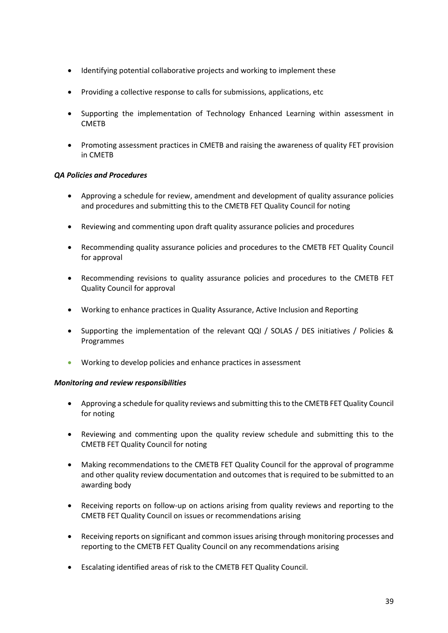- Identifying potential collaborative projects and working to implement these
- Providing a collective response to calls for submissions, applications, etc
- Supporting the implementation of Technology Enhanced Learning within assessment in CMETB
- Promoting assessment practices in CMETB and raising the awareness of quality FET provision in CMETB

## *QA Policies and Procedures*

- Approving a schedule for review, amendment and development of quality assurance policies and procedures and submitting this to the CMETB FET Quality Council for noting
- Reviewing and commenting upon draft quality assurance policies and procedures
- Recommending quality assurance policies and procedures to the CMETB FET Quality Council for approval
- Recommending revisions to quality assurance policies and procedures to the CMETB FET Quality Council for approval
- Working to enhance practices in Quality Assurance, Active Inclusion and Reporting
- Supporting the implementation of the relevant QQI / SOLAS / DES initiatives / Policies & Programmes
- Working to develop policies and enhance practices in assessment

## *Monitoring and review responsibilities*

- Approving a schedule for quality reviews and submitting this to the CMETB FET Quality Council for noting
- Reviewing and commenting upon the quality review schedule and submitting this to the CMETB FET Quality Council for noting
- Making recommendations to the CMETB FET Quality Council for the approval of programme and other quality review documentation and outcomes that is required to be submitted to an awarding body
- Receiving reports on follow-up on actions arising from quality reviews and reporting to the CMETB FET Quality Council on issues or recommendations arising
- Receiving reports on significant and common issues arising through monitoring processes and reporting to the CMETB FET Quality Council on any recommendations arising
- Escalating identified areas of risk to the CMETB FET Quality Council.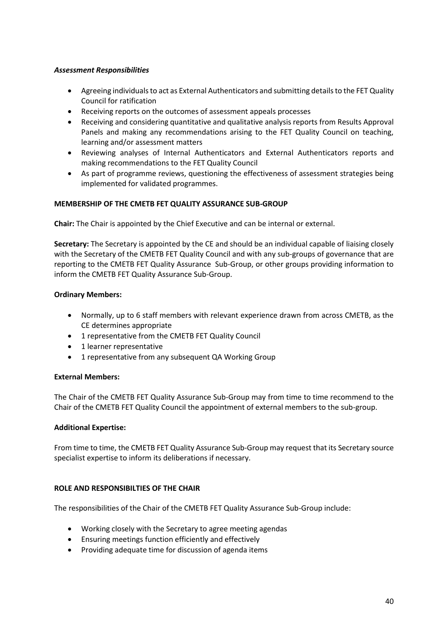## *Assessment Responsibilities*

- Agreeing individuals to act as External Authenticators and submitting details to the FET Quality Council for ratification
- Receiving reports on the outcomes of assessment appeals processes
- Receiving and considering quantitative and qualitative analysis reports from Results Approval Panels and making any recommendations arising to the FET Quality Council on teaching, learning and/or assessment matters
- Reviewing analyses of Internal Authenticators and External Authenticators reports and making recommendations to the FET Quality Council
- As part of programme reviews, questioning the effectiveness of assessment strategies being implemented for validated programmes.

## **MEMBERSHIP OF THE CMETB FET QUALITY ASSURANCE SUB-GROUP**

**Chair:** The Chair is appointed by the Chief Executive and can be internal or external.

**Secretary:** The Secretary is appointed by the CE and should be an individual capable of liaising closely with the Secretary of the CMETB FET Quality Council and with any sub-groups of governance that are reporting to the CMETB FET Quality Assurance Sub-Group, or other groups providing information to inform the CMETB FET Quality Assurance Sub-Group.

## **Ordinary Members:**

- Normally, up to 6 staff members with relevant experience drawn from across CMETB, as the CE determines appropriate
- 1 representative from the CMETB FET Quality Council
- 1 learner representative
- 1 representative from any subsequent QA Working Group

#### **External Members:**

The Chair of the CMETB FET Quality Assurance Sub-Group may from time to time recommend to the Chair of the CMETB FET Quality Council the appointment of external members to the sub-group.

#### **Additional Expertise:**

From time to time, the CMETB FET Quality Assurance Sub-Group may request that its Secretary source specialist expertise to inform its deliberations if necessary.

#### **ROLE AND RESPONSIBILTIES OF THE CHAIR**

The responsibilities of the Chair of the CMETB FET Quality Assurance Sub-Group include:

- Working closely with the Secretary to agree meeting agendas
- Ensuring meetings function efficiently and effectively
- Providing adequate time for discussion of agenda items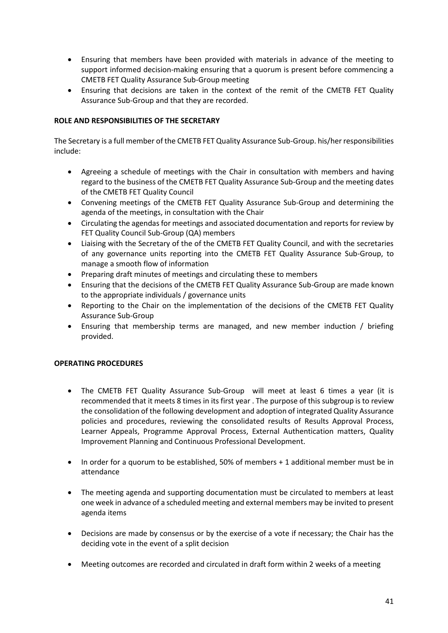- Ensuring that members have been provided with materials in advance of the meeting to support informed decision-making ensuring that a quorum is present before commencing a CMETB FET Quality Assurance Sub-Group meeting
- Ensuring that decisions are taken in the context of the remit of the CMETB FET Quality Assurance Sub-Group and that they are recorded.

## **ROLE AND RESPONSIBILITIES OF THE SECRETARY**

The Secretary is a full member of the CMETB FET Quality Assurance Sub-Group. his/her responsibilities include:

- Agreeing a schedule of meetings with the Chair in consultation with members and having regard to the business of the CMETB FET Quality Assurance Sub-Group and the meeting dates of the CMETB FET Quality Council
- Convening meetings of the CMETB FET Quality Assurance Sub-Group and determining the agenda of the meetings, in consultation with the Chair
- Circulating the agendas for meetings and associated documentation and reports for review by FET Quality Council Sub-Group (QA) members
- Liaising with the Secretary of the of the CMETB FET Quality Council, and with the secretaries of any governance units reporting into the CMETB FET Quality Assurance Sub-Group, to manage a smooth flow of information
- Preparing draft minutes of meetings and circulating these to members
- Ensuring that the decisions of the CMETB FET Quality Assurance Sub-Group are made known to the appropriate individuals / governance units
- Reporting to the Chair on the implementation of the decisions of the CMETB FET Quality Assurance Sub-Group
- Ensuring that membership terms are managed, and new member induction / briefing provided.

## **OPERATING PROCEDURES**

- The CMETB FET Quality Assurance Sub-Group will meet at least 6 times a year (it is recommended that it meets 8 times in its first year . The purpose of this subgroup is to review the consolidation of the following development and adoption of integrated Quality Assurance policies and procedures, reviewing the consolidated results of Results Approval Process, Learner Appeals, Programme Approval Process, External Authentication matters, Quality Improvement Planning and Continuous Professional Development.
- In order for a quorum to be established, 50% of members + 1 additional member must be in attendance
- The meeting agenda and supporting documentation must be circulated to members at least one week in advance of a scheduled meeting and external members may be invited to present agenda items
- Decisions are made by consensus or by the exercise of a vote if necessary; the Chair has the deciding vote in the event of a split decision
- Meeting outcomes are recorded and circulated in draft form within 2 weeks of a meeting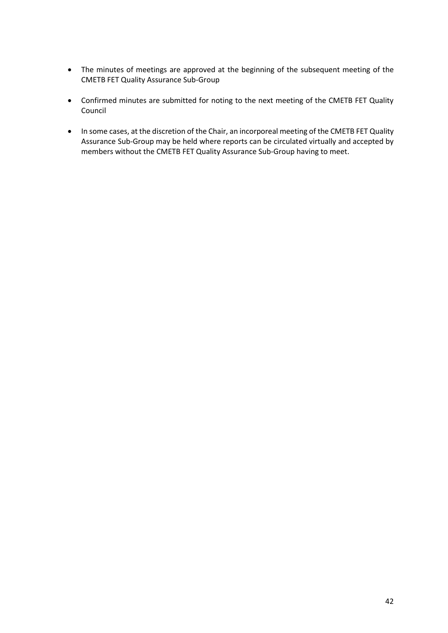- The minutes of meetings are approved at the beginning of the subsequent meeting of the CMETB FET Quality Assurance Sub-Group
- Confirmed minutes are submitted for noting to the next meeting of the CMETB FET Quality Council
- In some cases, at the discretion of the Chair, an incorporeal meeting of the CMETB FET Quality Assurance Sub-Group may be held where reports can be circulated virtually and accepted by members without the CMETB FET Quality Assurance Sub-Group having to meet.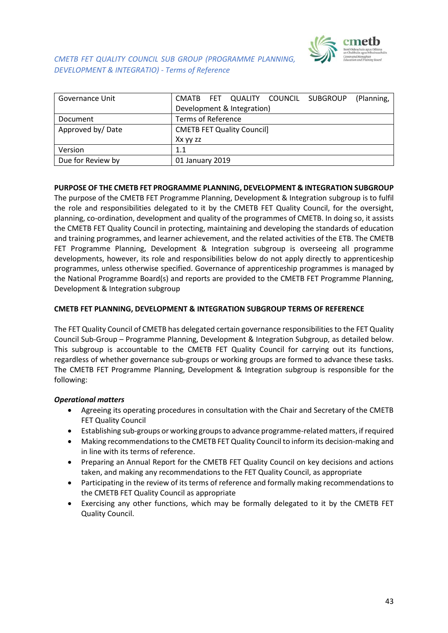

*CMETB FET QUALITY COUNCIL SUB GROUP (PROGRAMME PLANNING, DEVELOPMENT & INTEGRATIO) - Terms of Reference* 

| Governance Unit   |                                   |  |                            | CMATB FET QUALITY COUNCIL SUBGROUP | (Planning, |
|-------------------|-----------------------------------|--|----------------------------|------------------------------------|------------|
|                   |                                   |  | Development & Integration) |                                    |            |
| Document          | <b>Terms of Reference</b>         |  |                            |                                    |            |
| Approved by/Date  | <b>CMETB FET Quality Council]</b> |  |                            |                                    |            |
|                   | Xx yy zz                          |  |                            |                                    |            |
| Version           | 1.1                               |  |                            |                                    |            |
| Due for Review by | 01 January 2019                   |  |                            |                                    |            |

#### **PURPOSE OF THE CMETB FET PROGRAMME PLANNING, DEVELOPMENT & INTEGRATION SUBGROUP**

The purpose of the CMETB FET Programme Planning, Development & Integration subgroup is to fulfil the role and responsibilities delegated to it by the CMETB FET Quality Council, for the oversight, planning, co-ordination, development and quality of the programmes of CMETB. In doing so, it assists the CMETB FET Quality Council in protecting, maintaining and developing the standards of education and training programmes, and learner achievement, and the related activities of the ETB. The CMETB FET Programme Planning, Development & Integration subgroup is overseeing all programme developments, however, its role and responsibilities below do not apply directly to apprenticeship programmes, unless otherwise specified. Governance of apprenticeship programmes is managed by the National Programme Board(s) and reports are provided to the CMETB FET Programme Planning, Development & Integration subgroup

#### **CMETB FET PLANNING, DEVELOPMENT & INTEGRATION SUBGROUP TERMS OF REFERENCE**

The FET Quality Council of CMETB has delegated certain governance responsibilities to the FET Quality Council Sub-Group – Programme Planning, Development & Integration Subgroup, as detailed below. This subgroup is accountable to the CMETB FET Quality Council for carrying out its functions, regardless of whether governance sub-groups or working groups are formed to advance these tasks. The CMETB FET Programme Planning, Development & Integration subgroup is responsible for the following:

#### *Operational matters*

- Agreeing its operating procedures in consultation with the Chair and Secretary of the CMETB FET Quality Council
- Establishing sub-groups or working groups to advance programme-related matters, if required
- Making recommendations to the CMETB FET Quality Council to inform its decision-making and in line with its terms of reference.
- Preparing an Annual Report for the CMETB FET Quality Council on key decisions and actions taken, and making any recommendations to the FET Quality Council, as appropriate
- Participating in the review of its terms of reference and formally making recommendations to the CMETB FET Quality Council as appropriate
- Exercising any other functions, which may be formally delegated to it by the CMETB FET Quality Council.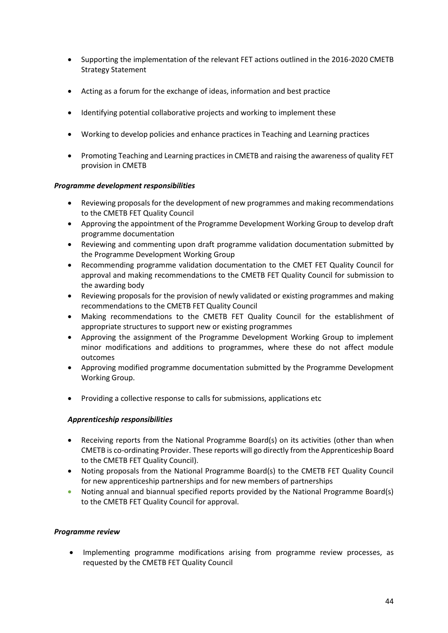- Supporting the implementation of the relevant FET actions outlined in the 2016-2020 CMETB Strategy Statement
- Acting as a forum for the exchange of ideas, information and best practice
- Identifying potential collaborative projects and working to implement these
- Working to develop policies and enhance practices in Teaching and Learning practices
- Promoting Teaching and Learning practices in CMETB and raising the awareness of quality FET provision in CMETB

## *Programme development responsibilities*

- Reviewing proposals for the development of new programmes and making recommendations to the CMETB FET Quality Council
- Approving the appointment of the Programme Development Working Group to develop draft programme documentation
- Reviewing and commenting upon draft programme validation documentation submitted by the Programme Development Working Group
- Recommending programme validation documentation to the CMET FET Quality Council for approval and making recommendations to the CMETB FET Quality Council for submission to the awarding body
- Reviewing proposals for the provision of newly validated or existing programmes and making recommendations to the CMETB FET Quality Council
- Making recommendations to the CMETB FET Quality Council for the establishment of appropriate structures to support new or existing programmes
- Approving the assignment of the Programme Development Working Group to implement minor modifications and additions to programmes, where these do not affect module outcomes
- Approving modified programme documentation submitted by the Programme Development Working Group.
- Providing a collective response to calls for submissions, applications etc

## *Apprenticeship responsibilities*

- Receiving reports from the National Programme Board(s) on its activities (other than when CMETB is co-ordinating Provider. These reports will go directly from the Apprenticeship Board to the CMETB FET Quality Council).
- Noting proposals from the National Programme Board(s) to the CMETB FET Quality Council for new apprenticeship partnerships and for new members of partnerships
- Noting annual and biannual specified reports provided by the National Programme Board(s) to the CMETB FET Quality Council for approval.

## *Programme review*

• Implementing programme modifications arising from programme review processes, as requested by the CMETB FET Quality Council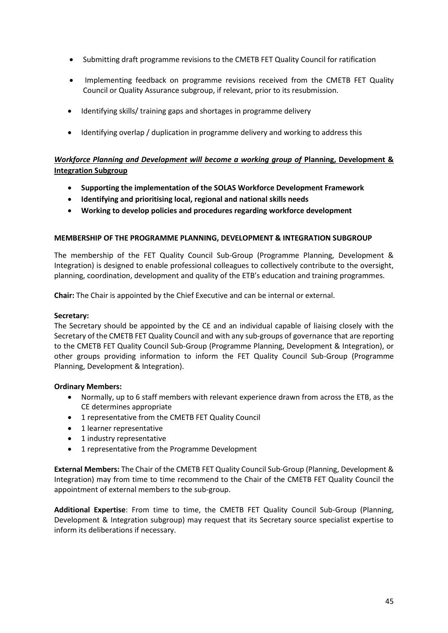- Submitting draft programme revisions to the CMETB FET Quality Council for ratification
- Implementing feedback on programme revisions received from the CMETB FET Quality Council or Quality Assurance subgroup, if relevant, prior to its resubmission.
- Identifying skills/ training gaps and shortages in programme delivery
- Identifying overlap / duplication in programme delivery and working to address this

## *Workforce Planning and Development will become a working group of Planning, Development &* **Integration Subgroup**

- **Supporting the implementation of the SOLAS Workforce Development Framework**
- **Identifying and prioritising local, regional and national skills needs**
- **Working to develop policies and procedures regarding workforce development**

#### **MEMBERSHIP OF THE PROGRAMME PLANNING, DEVELOPMENT & INTEGRATION SUBGROUP**

The membership of the FET Quality Council Sub-Group (Programme Planning, Development & Integration) is designed to enable professional colleagues to collectively contribute to the oversight, planning, coordination, development and quality of the ETB's education and training programmes.

**Chair:** The Chair is appointed by the Chief Executive and can be internal or external.

#### **Secretary:**

The Secretary should be appointed by the CE and an individual capable of liaising closely with the Secretary of the CMETB FET Quality Council and with any sub-groups of governance that are reporting to the CMETB FET Quality Council Sub-Group (Programme Planning, Development & Integration), or other groups providing information to inform the FET Quality Council Sub-Group (Programme Planning, Development & Integration).

#### **Ordinary Members:**

- Normally, up to 6 staff members with relevant experience drawn from across the ETB, as the CE determines appropriate
- 1 representative from the CMETB FET Quality Council
- 1 learner representative
- 1 industry representative
- 1 representative from the Programme Development

**External Members:** The Chair of the CMETB FET Quality Council Sub-Group (Planning, Development & Integration) may from time to time recommend to the Chair of the CMETB FET Quality Council the appointment of external members to the sub-group.

**Additional Expertise**: From time to time, the CMETB FET Quality Council Sub-Group (Planning, Development & Integration subgroup) may request that its Secretary source specialist expertise to inform its deliberations if necessary.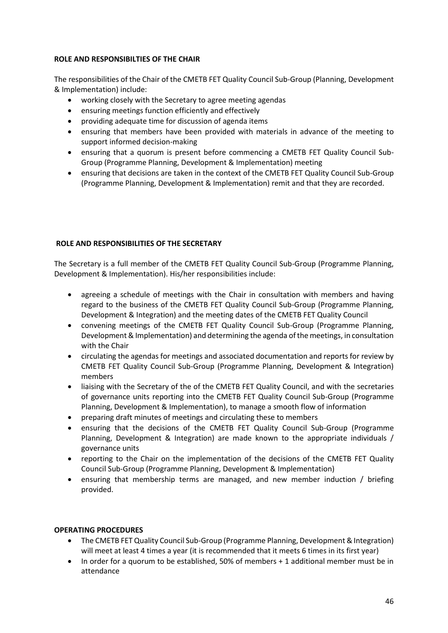#### **ROLE AND RESPONSIBILTIES OF THE CHAIR**

The responsibilities of the Chair of the CMETB FET Quality Council Sub-Group (Planning, Development & Implementation) include:

- working closely with the Secretary to agree meeting agendas
- ensuring meetings function efficiently and effectively
- providing adequate time for discussion of agenda items
- ensuring that members have been provided with materials in advance of the meeting to support informed decision-making
- ensuring that a quorum is present before commencing a CMETB FET Quality Council Sub-Group (Programme Planning, Development & Implementation) meeting
- ensuring that decisions are taken in the context of the CMETB FET Quality Council Sub-Group (Programme Planning, Development & Implementation) remit and that they are recorded.

## **ROLE AND RESPONSIBILITIES OF THE SECRETARY**

The Secretary is a full member of the CMETB FET Quality Council Sub-Group (Programme Planning, Development & Implementation). His/her responsibilities include:

- agreeing a schedule of meetings with the Chair in consultation with members and having regard to the business of the CMETB FET Quality Council Sub-Group (Programme Planning, Development & Integration) and the meeting dates of the CMETB FET Quality Council
- convening meetings of the CMETB FET Quality Council Sub-Group (Programme Planning, Development & Implementation) and determining the agenda of the meetings, in consultation with the Chair
- circulating the agendas for meetings and associated documentation and reports for review by CMETB FET Quality Council Sub-Group (Programme Planning, Development & Integration) members
- liaising with the Secretary of the of the CMETB FET Quality Council, and with the secretaries of governance units reporting into the CMETB FET Quality Council Sub-Group (Programme Planning, Development & Implementation), to manage a smooth flow of information
- preparing draft minutes of meetings and circulating these to members
- ensuring that the decisions of the CMETB FET Quality Council Sub-Group (Programme Planning, Development & Integration) are made known to the appropriate individuals / governance units
- reporting to the Chair on the implementation of the decisions of the CMETB FET Quality Council Sub-Group (Programme Planning, Development & Implementation)
- ensuring that membership terms are managed, and new member induction / briefing provided.

## **OPERATING PROCEDURES**

- The CMETB FET Quality Council Sub-Group (Programme Planning, Development & Integration) will meet at least 4 times a year (it is recommended that it meets 6 times in its first year)
- In order for a quorum to be established, 50% of members + 1 additional member must be in attendance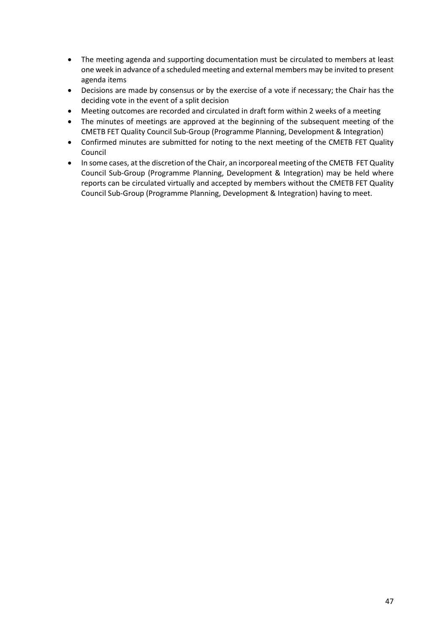- The meeting agenda and supporting documentation must be circulated to members at least one week in advance of a scheduled meeting and external members may be invited to present agenda items
- Decisions are made by consensus or by the exercise of a vote if necessary; the Chair has the deciding vote in the event of a split decision
- Meeting outcomes are recorded and circulated in draft form within 2 weeks of a meeting
- The minutes of meetings are approved at the beginning of the subsequent meeting of the CMETB FET Quality Council Sub-Group (Programme Planning, Development & Integration)
- Confirmed minutes are submitted for noting to the next meeting of the CMETB FET Quality Council
- In some cases, at the discretion of the Chair, an incorporeal meeting of the CMETB FET Quality Council Sub-Group (Programme Planning, Development & Integration) may be held where reports can be circulated virtually and accepted by members without the CMETB FET Quality Council Sub-Group (Programme Planning, Development & Integration) having to meet.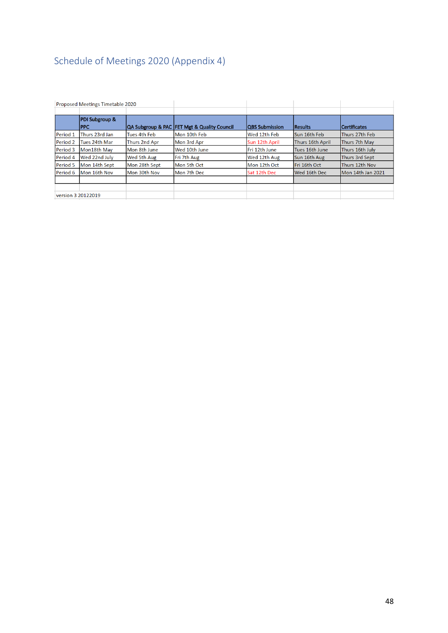# <span id="page-47-0"></span>Schedule of Meetings 2020 (Appendix 4)

|          | Proposed Meetings Timetable 2020         |                      |                                             |                       |                         |                     |
|----------|------------------------------------------|----------------------|---------------------------------------------|-----------------------|-------------------------|---------------------|
|          | <b>PDI Subgroup &amp;</b><br><b>IPPC</b> |                      | QA Subgroup & PAC FET Mgt & Quality Council | <b>QBS Submission</b> | <b>Results</b>          | <b>Certificates</b> |
| Period 1 | Thurs 23rd Jan                           | Tues 4th Feb         | Mon 10th Feb                                | Wed 12th Feb          | Sun 16th Feb            | lThurs 27th Feb     |
| Period 2 | lTues 24th Mar                           | <b>Thurs 2nd Apr</b> | Mon 3rd Apr                                 | Sun 12th April        | <b>Thurs 16th April</b> | Thurs 7th May       |
| Period 3 | Mon18th May                              | Mon 8th June         | Wed 10th June                               | lFri 12th June        | Tues 16th June          | Thurs 16th July     |
| Period 4 | Wed 22nd July                            | <b>Wed 5th Aug</b>   | Fri 7th Aug                                 | Wed 12th Aug          | Sun 16th Aug            | Thurs 3rd Sept      |
| Period 5 | Mon 14th Sept                            | Mon 28th Sept        | Mon 5th Oct                                 | Mon 12th Oct          | Fri 16th Oct            | Thurs 12th Nov      |
| Period 6 | Mon 16th Nov                             | Mon 30th Nov         | Mon 7th Dec                                 | Sat 12th Dec          | Wed 16th Dec            | Mon 14th Jan 2021   |
|          | version 3 20122019                       |                      |                                             |                       |                         |                     |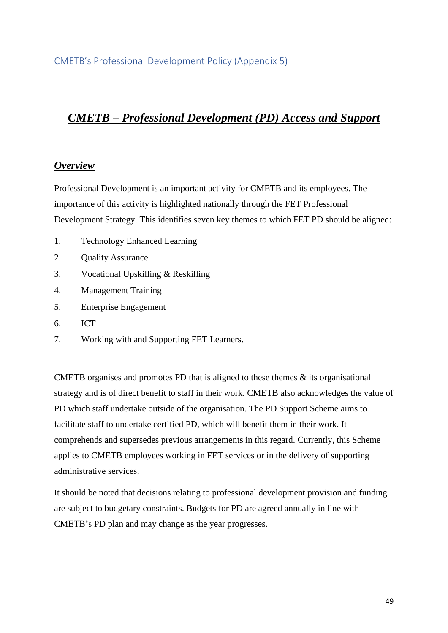# <span id="page-48-0"></span>*CMETB – Professional Development (PD) Access and Support*

## *Overview*

Professional Development is an important activity for CMETB and its employees. The importance of this activity is highlighted nationally through the FET Professional Development Strategy. This identifies seven key themes to which FET PD should be aligned:

- 1. Technology Enhanced Learning
- 2. Quality Assurance
- 3. Vocational Upskilling & Reskilling
- 4. Management Training
- 5. Enterprise Engagement
- 6. ICT
- 7. Working with and Supporting FET Learners.

CMETB organises and promotes PD that is aligned to these themes  $\&$  its organisational strategy and is of direct benefit to staff in their work. CMETB also acknowledges the value of PD which staff undertake outside of the organisation. The PD Support Scheme aims to facilitate staff to undertake certified PD, which will benefit them in their work. It comprehends and supersedes previous arrangements in this regard. Currently, this Scheme applies to CMETB employees working in FET services or in the delivery of supporting administrative services.

It should be noted that decisions relating to professional development provision and funding are subject to budgetary constraints. Budgets for PD are agreed annually in line with CMETB's PD plan and may change as the year progresses.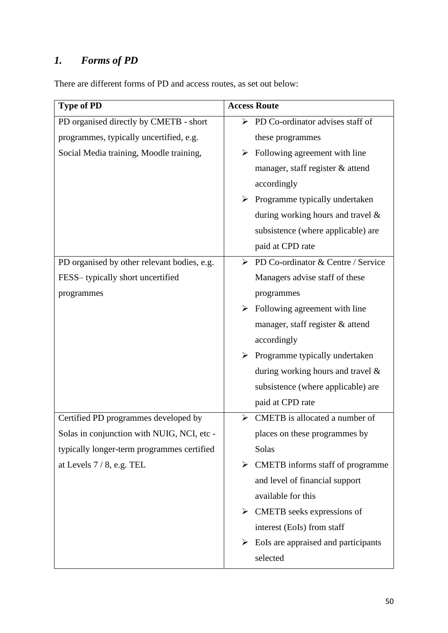# *1. Forms of PD*

There are different forms of PD and access routes, as set out below:

| <b>Type of PD</b>                           | <b>Access Route</b>                               |
|---------------------------------------------|---------------------------------------------------|
| PD organised directly by CMETB - short      | $\triangleright$ PD Co-ordinator advises staff of |
| programmes, typically uncertified, e.g.     | these programmes                                  |
| Social Media training, Moodle training,     | Following agreement with line<br>➤                |
|                                             | manager, staff register & attend                  |
|                                             | accordingly                                       |
|                                             | Programme typically undertaken<br>➤               |
|                                             | during working hours and travel &                 |
|                                             | subsistence (where applicable) are                |
|                                             | paid at CPD rate                                  |
| PD organised by other relevant bodies, e.g. | PD Co-ordinator & Centre / Service<br>➤           |
| FESS-typically short uncertified            | Managers advise staff of these                    |
| programmes                                  | programmes                                        |
|                                             | Following agreement with line                     |
|                                             | manager, staff register & attend                  |
|                                             | accordingly                                       |
|                                             | Programme typically undertaken<br>➤               |
|                                             | during working hours and travel &                 |
|                                             | subsistence (where applicable) are                |
|                                             | paid at CPD rate                                  |
| Certified PD programmes developed by        | CMETB is allocated a number of<br>➤               |
| Solas in conjunction with NUIG, NCI, etc    | places on these programmes by                     |
| typically longer-term programmes certified  | Solas                                             |
| at Levels $7/8$ , e.g. TEL                  | CMETB informs staff of programme<br>➤             |
|                                             | and level of financial support                    |
|                                             | available for this                                |
|                                             | CMETB seeks expressions of<br>➤                   |
|                                             | interest (EoIs) from staff                        |
|                                             | EoIs are appraised and participants               |
|                                             | selected                                          |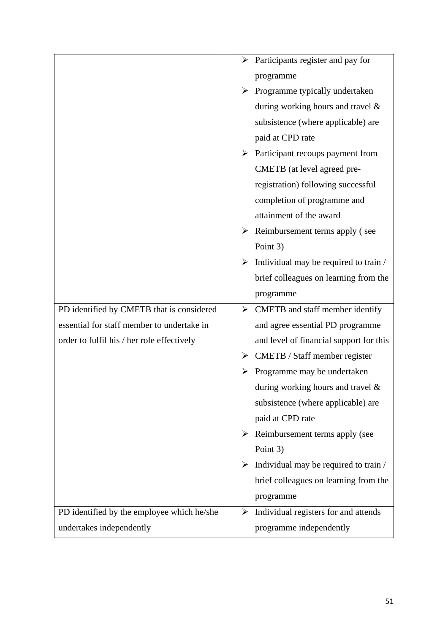|                                            | Participants register and pay for<br>$\blacktriangleright$ |
|--------------------------------------------|------------------------------------------------------------|
|                                            | programme                                                  |
|                                            | Programme typically undertaken<br>➤                        |
|                                            | during working hours and travel $\&$                       |
|                                            | subsistence (where applicable) are                         |
|                                            | paid at CPD rate                                           |
|                                            | $\triangleright$ Participant recoups payment from          |
|                                            | CMETB (at level agreed pre-                                |
|                                            | registration) following successful                         |
|                                            | completion of programme and                                |
|                                            | attainment of the award                                    |
|                                            | Reimbursement terms apply (see<br>➤                        |
|                                            | Point 3)                                                   |
|                                            | Individual may be required to train /<br>➤                 |
|                                            | brief colleagues on learning from the                      |
|                                            | programme                                                  |
| PD identified by CMETB that is considered  | CMETB and staff member identify<br>$\blacktriangleright$   |
| essential for staff member to undertake in | and agree essential PD programme                           |
| order to fulfil his / her role effectively | and level of financial support for this                    |
|                                            | CMETB / Staff member register                              |
|                                            | Programme may be undertaken                                |
|                                            | during working hours and travel $\&$                       |
|                                            | subsistence (where applicable) are                         |
|                                            | paid at CPD rate                                           |
|                                            | Reimbursement terms apply (see<br>➤                        |
|                                            | Point 3)                                                   |
|                                            | Individual may be required to train /<br>➤                 |
|                                            | brief colleagues on learning from the                      |
|                                            | programme                                                  |
| PD identified by the employee which he/she | Individual registers for and attends<br>➤                  |
| undertakes independently                   | programme independently                                    |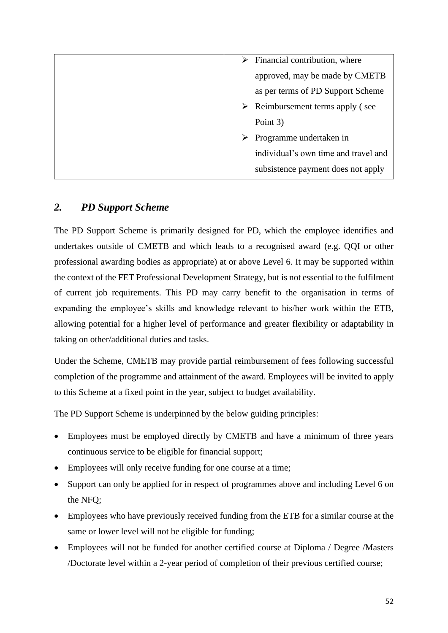| Financial contribution, where<br>➤              |
|-------------------------------------------------|
| approved, may be made by CMETB                  |
| as per terms of PD Support Scheme               |
| $\triangleright$ Reimbursement terms apply (see |
| Point 3)                                        |
| Programme undertaken in<br>➤                    |
| individual's own time and travel and            |
| subsistence payment does not apply              |
|                                                 |

## *2. PD Support Scheme*

The PD Support Scheme is primarily designed for PD, which the employee identifies and undertakes outside of CMETB and which leads to a recognised award (e.g. QQI or other professional awarding bodies as appropriate) at or above Level 6. It may be supported within the context of the FET Professional Development Strategy, but is not essential to the fulfilment of current job requirements. This PD may carry benefit to the organisation in terms of expanding the employee's skills and knowledge relevant to his/her work within the ETB, allowing potential for a higher level of performance and greater flexibility or adaptability in taking on other/additional duties and tasks.

Under the Scheme, CMETB may provide partial reimbursement of fees following successful completion of the programme and attainment of the award. Employees will be invited to apply to this Scheme at a fixed point in the year, subject to budget availability.

The PD Support Scheme is underpinned by the below guiding principles:

- Employees must be employed directly by CMETB and have a minimum of three years continuous service to be eligible for financial support;
- Employees will only receive funding for one course at a time;
- Support can only be applied for in respect of programmes above and including Level 6 on the NFQ;
- Employees who have previously received funding from the ETB for a similar course at the same or lower level will not be eligible for funding;
- Employees will not be funded for another certified course at Diploma / Degree /Masters /Doctorate level within a 2-year period of completion of their previous certified course;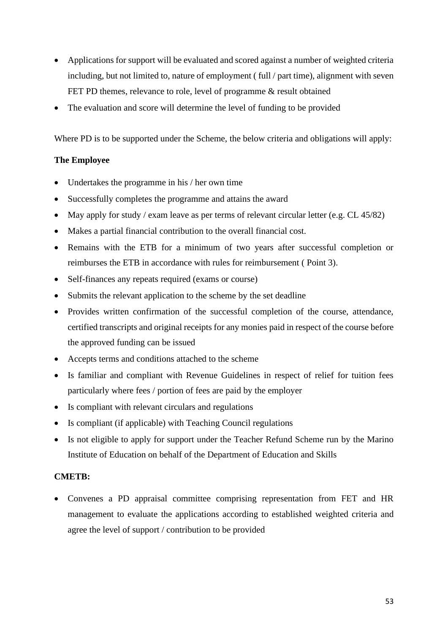- Applications for support will be evaluated and scored against a number of weighted criteria including, but not limited to, nature of employment (full / part time), alignment with seven FET PD themes, relevance to role, level of programme  $\&$  result obtained
- The evaluation and score will determine the level of funding to be provided

Where PD is to be supported under the Scheme, the below criteria and obligations will apply:

## **The Employee**

- Undertakes the programme in his / her own time
- Successfully completes the programme and attains the award
- May apply for study / exam leave as per terms of relevant circular letter (e.g. CL 45/82)
- Makes a partial financial contribution to the overall financial cost.
- Remains with the ETB for a minimum of two years after successful completion or reimburses the ETB in accordance with rules for reimbursement ( Point 3).
- Self-finances any repeats required (exams or course)
- Submits the relevant application to the scheme by the set deadline
- Provides written confirmation of the successful completion of the course, attendance, certified transcripts and original receipts for any monies paid in respect of the course before the approved funding can be issued
- Accepts terms and conditions attached to the scheme
- Is familiar and compliant with Revenue Guidelines in respect of relief for tuition fees particularly where fees / portion of fees are paid by the employer
- Is compliant with relevant circulars and regulations
- Is compliant (if applicable) with Teaching Council regulations
- Is not eligible to apply for support under the Teacher Refund Scheme run by the Marino Institute of Education on behalf of the Department of Education and Skills

## **CMETB:**

• Convenes a PD appraisal committee comprising representation from FET and HR management to evaluate the applications according to established weighted criteria and agree the level of support / contribution to be provided